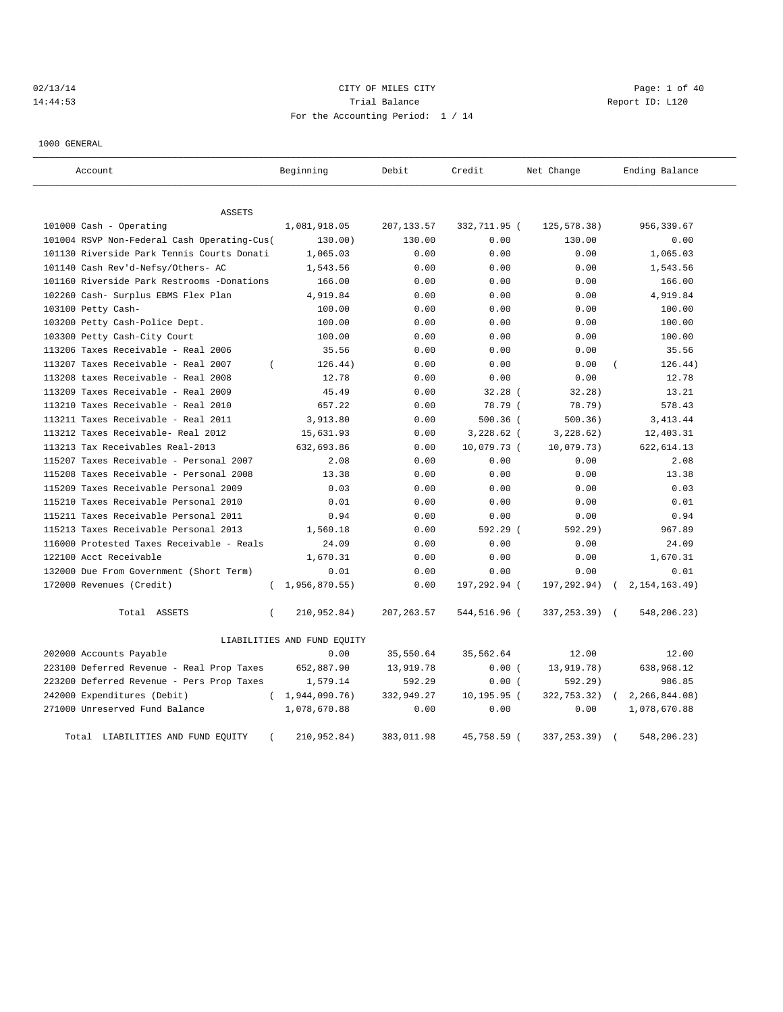# 02/13/14 Page: 1 of 40 14:44:53 Trial Balance Report ID: L120 For the Accounting Period: 1 / 14

1000 GENERAL

| Account                                     | Beginning                   | Debit       | Credit       | Net Change    | Ending Balance   |
|---------------------------------------------|-----------------------------|-------------|--------------|---------------|------------------|
| <b>ASSETS</b>                               |                             |             |              |               |                  |
| 101000 Cash - Operating                     | 1,081,918.05                | 207,133.57  | 332,711.95 ( | 125,578.38)   | 956,339.67       |
| 101004 RSVP Non-Federal Cash Operating-Cus( | 130.00)                     | 130.00      | 0.00         | 130.00        | 0.00             |
| 101130 Riverside Park Tennis Courts Donati  | 1,065.03                    | 0.00        | 0.00         | 0.00          | 1,065.03         |
| 101140 Cash Rev'd-Nefsy/Others- AC          | 1,543.56                    | 0.00        | 0.00         | 0.00          | 1,543.56         |
| 101160 Riverside Park Restrooms -Donations  | 166.00                      | 0.00        | 0.00         | 0.00          | 166.00           |
| 102260 Cash- Surplus EBMS Flex Plan         | 4,919.84                    | 0.00        | 0.00         | 0.00          | 4,919.84         |
| 103100 Petty Cash-                          | 100.00                      | 0.00        | 0.00         | 0.00          | 100.00           |
| 103200 Petty Cash-Police Dept.              | 100.00                      | 0.00        | 0.00         | 0.00          | 100.00           |
| 103300 Petty Cash-City Court                | 100.00                      | 0.00        | 0.00         | 0.00          | 100.00           |
| 113206 Taxes Receivable - Real 2006         | 35.56                       | 0.00        | 0.00         | 0.00          | 35.56            |
| 113207 Taxes Receivable - Real 2007         | 126.44)<br>$\left($         | 0.00        | 0.00         | 0.00          | 126.44)          |
| 113208 taxes Receivable - Real 2008         | 12.78                       | 0.00        | 0.00         | 0.00          | 12.78            |
| 113209 Taxes Receivable - Real 2009         | 45.49                       | 0.00        | 32.28(       | 32.28)        | 13.21            |
| 113210 Taxes Receivable - Real 2010         | 657.22                      | 0.00        | 78.79 (      | 78.79)        | 578.43           |
| 113211 Taxes Receivable - Real 2011         | 3,913.80                    | 0.00        | 500.36 (     | 500.36)       | 3, 413.44        |
| 113212 Taxes Receivable- Real 2012          | 15,631.93                   | 0.00        | $3,228.62$ ( | 3,228.62)     | 12,403.31        |
| 113213 Tax Receivables Real-2013            | 632,693.86                  | 0.00        | 10,079.73 (  | 10,079.73)    | 622,614.13       |
| 115207 Taxes Receivable - Personal 2007     | 2.08                        | 0.00        | 0.00         | 0.00          | 2.08             |
| 115208 Taxes Receivable - Personal 2008     | 13.38                       | 0.00        | 0.00         | 0.00          | 13.38            |
| 115209 Taxes Receivable Personal 2009       | 0.03                        | 0.00        | 0.00         | 0.00          | 0.03             |
| 115210 Taxes Receivable Personal 2010       | 0.01                        | 0.00        | 0.00         | 0.00          | 0.01             |
| 115211 Taxes Receivable Personal 2011       | 0.94                        | 0.00        | 0.00         | 0.00          | 0.94             |
| 115213 Taxes Receivable Personal 2013       | 1,560.18                    | 0.00        | $592.29$ (   | 592.29)       | 967.89           |
| 116000 Protested Taxes Receivable - Reals   | 24.09                       | 0.00        | 0.00         | 0.00          | 24.09            |
| 122100 Acct Receivable                      | 1,670.31                    | 0.00        | 0.00         | 0.00          | 1,670.31         |
| 132000 Due From Government (Short Term)     | 0.01                        | 0.00        | 0.00         | 0.00          | 0.01             |
| 172000 Revenues (Credit)                    | 1,956,870.55)<br>$\left($   | 0.00        | 197,292.94 ( | 197,292.94)   | 2, 154, 163, 49) |
| Total ASSETS                                | 210,952.84)<br>$\left($     | 207, 263.57 | 544,516.96 ( | 337,253.39) ( | 548,206.23)      |
|                                             | LIABILITIES AND FUND EQUITY |             |              |               |                  |
| 202000 Accounts Payable                     | 0.00                        | 35,550.64   | 35,562.64    | 12.00         | 12.00            |
| 223100 Deferred Revenue - Real Prop Taxes   | 652,887.90                  | 13,919.78   | 0.00(        | 13,919.78)    | 638,968.12       |
| 223200 Deferred Revenue - Pers Prop Taxes   | 1,579.14                    | 592.29      | 0.00(        | 592.29)       | 986.85           |
| 242000 Expenditures (Debit)                 | (1, 944, 090.76)            | 332,949.27  | 10,195.95 (  | 322,753.32)   | 2, 266, 844.08   |
| 271000 Unreserved Fund Balance              | 1,078,670.88                | 0.00        | 0.00         | 0.00          | 1,078,670.88     |
| Total LIABILITIES AND FUND EQUITY           | 210,952.84)<br>$\left($     | 383,011.98  | 45,758.59 (  | 337,253.39)   | 548,206.23)      |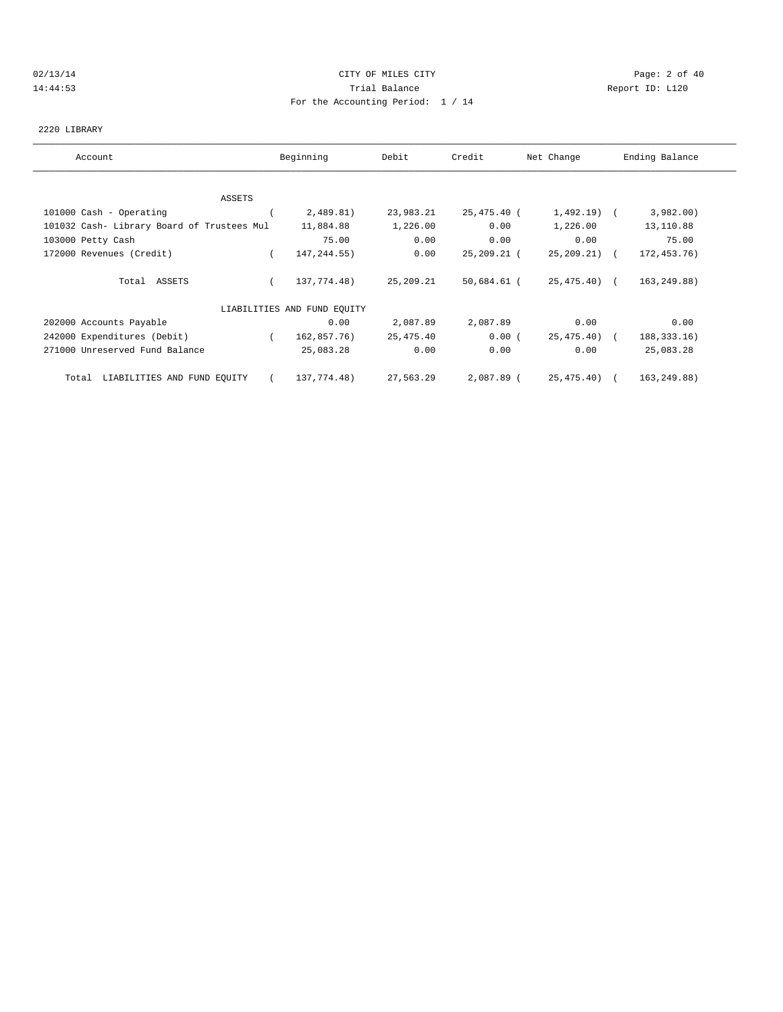#### 02/13/14 Page: 2 of 40 14:44:53 Trial Balance Report ID: L120 For the Accounting Period: 1 / 14

#### 2220 LIBRARY

| Account                                    | Beginning                   | Debit     | Credit      | Net Change      | Ending Balance |
|--------------------------------------------|-----------------------------|-----------|-------------|-----------------|----------------|
|                                            |                             |           |             |                 |                |
| ASSETS                                     |                             |           |             |                 |                |
| 101000 Cash - Operating                    | 2,489.81)                   | 23,983.21 | 25,475.40 ( | $1,492.19$ (    | 3,982.00)      |
| 101032 Cash- Library Board of Trustees Mul | 11,884.88                   | 1,226.00  | 0.00        | 1,226.00        | 13,110.88      |
| 103000 Petty Cash                          | 75.00                       | 0.00      | 0.00        | 0.00            | 75.00          |
| 172000 Revenues (Credit)                   | 147, 244.55)                | 0.00      | 25,209.21 ( | $25, 209, 21$ ( | 172,453.76)    |
| Total ASSETS                               | 137,774.48)                 | 25,209.21 | 50,684.61 ( | 25,475.40) (    | 163,249.88)    |
|                                            | LIABILITIES AND FUND EQUITY |           |             |                 |                |
| 202000 Accounts Payable                    | 0.00                        | 2,087.89  | 2,087.89    | 0.00            | 0.00           |
| 242000 Expenditures (Debit)                | 162,857.76)<br>$\left($     | 25,475.40 | 0.00(       | 25,475.40) (    | 188, 333. 16)  |
| 271000 Unreserved Fund Balance             | 25,083.28                   | 0.00      | 0.00        | 0.00            | 25,083.28      |
| Total LIABILITIES AND FUND EOUITY          | 137,774.48)                 | 27,563.29 | 2,087.89 (  | 25,475.40) (    | 163,249.88)    |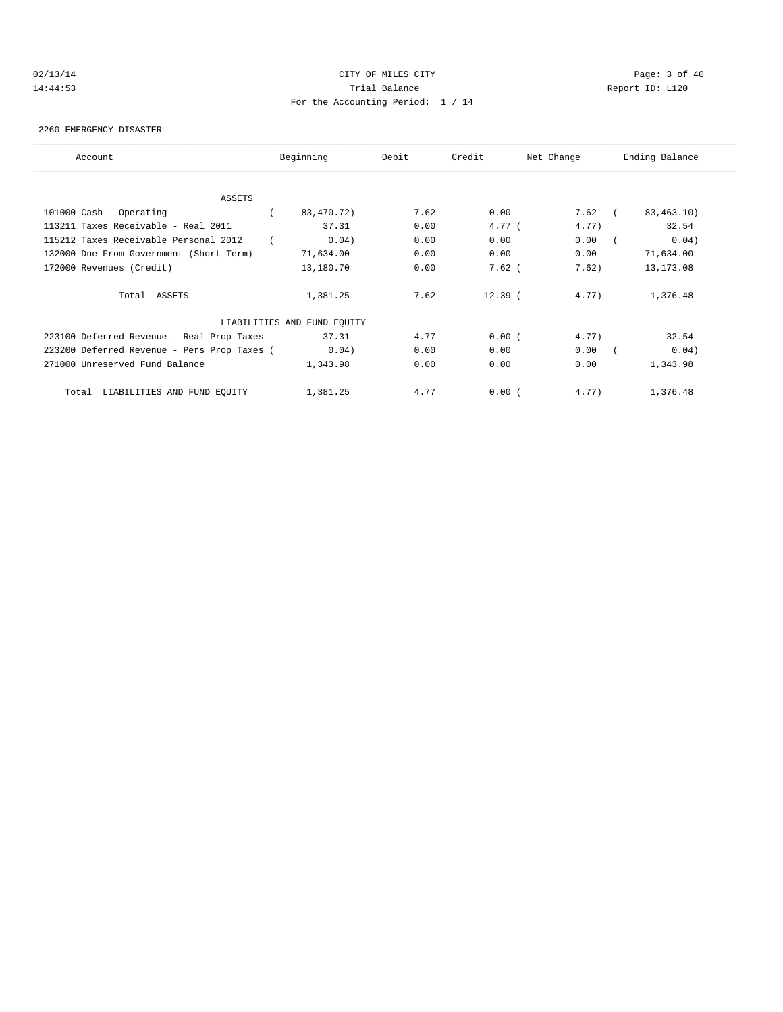# 02/13/14 Page: 3 of 40 14:44:53 Trial Balance Report ID: L120 For the Accounting Period: 1 / 14

2260 EMERGENCY DISASTER

| Account                                     | Beginning                   | Debit | Credit    | Net Change | Ending Balance |
|---------------------------------------------|-----------------------------|-------|-----------|------------|----------------|
|                                             |                             |       |           |            |                |
| ASSETS                                      |                             |       |           |            |                |
| 101000 Cash - Operating                     | 83,470.72)                  | 7.62  | 0.00      | $7.62$ (   | 83,463.10)     |
| 113211 Taxes Receivable - Real 2011         | 37.31                       | 0.00  | 4.77(     | 4.77)      | 32.54          |
| 115212 Taxes Receivable Personal 2012       | 0.04)                       | 0.00  | 0.00      | 0.00       | 0.04)          |
| 132000 Due From Government (Short Term)     | 71,634.00                   | 0.00  | 0.00      | 0.00       | 71,634.00      |
| 172000 Revenues (Credit)                    | 13,180.70                   | 0.00  | $7.62$ (  | 7.62)      | 13, 173.08     |
| Total ASSETS                                | 1,381.25                    | 7.62  | $12.39$ ( | 4.77)      | 1,376.48       |
|                                             | LIABILITIES AND FUND EQUITY |       |           |            |                |
| 223100 Deferred Revenue - Real Prop Taxes   | 37.31                       | 4.77  | 0.00(     | 4.77)      | 32.54          |
| 223200 Deferred Revenue - Pers Prop Taxes ( | 0.04)                       | 0.00  | 0.00      | 0.00       | 0.04)          |
| 271000 Unreserved Fund Balance              | 1,343.98                    | 0.00  | 0.00      | 0.00       | 1,343.98       |
| Total LIABILITIES AND FUND EQUITY           | 1,381.25                    | 4.77  | 0.00(     | 4.77)      | 1,376.48       |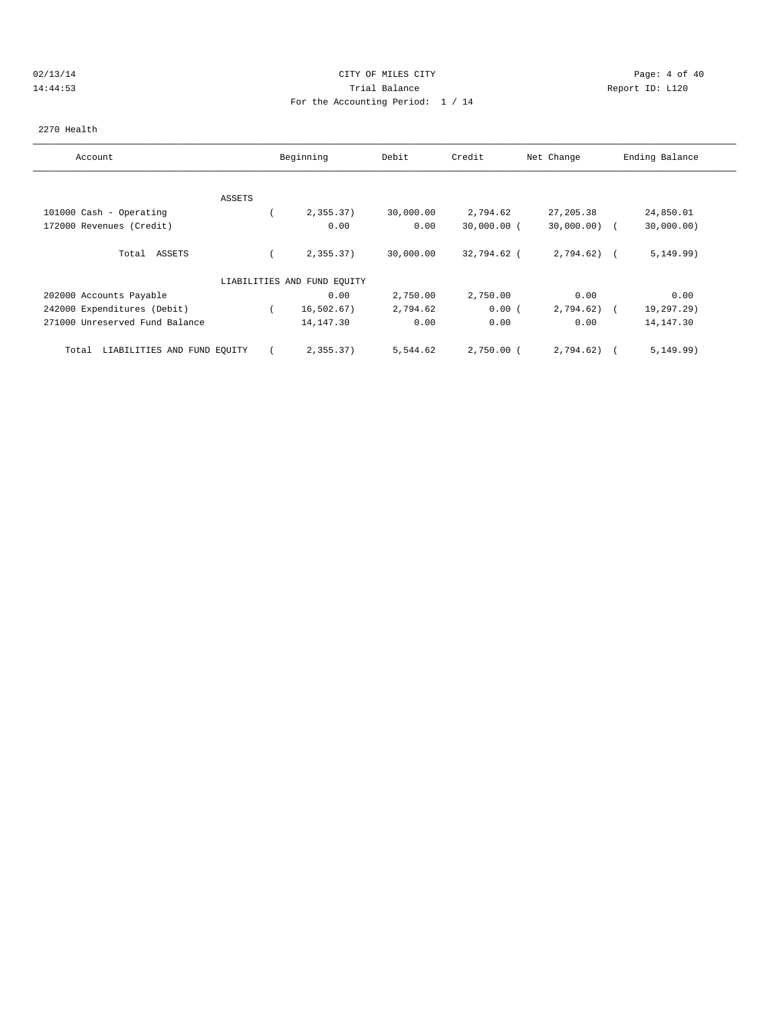#### 02/13/14 Page: 4 of 40 14:44:53 Trial Balance Report ID: L120 For the Accounting Period: 1 / 14

#### 2270 Health

| Account                              |               | Beginning                   | Debit     | Credit        | Net Change     | Ending Balance |
|--------------------------------------|---------------|-----------------------------|-----------|---------------|----------------|----------------|
|                                      |               |                             |           |               |                |                |
|                                      | <b>ASSETS</b> |                             |           |               |                |                |
| 101000 Cash - Operating              |               | 2,355.37)                   | 30,000.00 | 2,794.62      | 27, 205.38     | 24,850.01      |
| 172000 Revenues (Credit)             |               | 0.00                        | 0.00      | $30,000.00$ ( | $30,000.00)$ ( | 30,000.00)     |
| Total ASSETS                         |               | 2,355.37)                   | 30,000.00 | 32,794.62 (   | $2,794.62$ (   | 5, 149.99)     |
|                                      |               | LIABILITIES AND FUND EQUITY |           |               |                |                |
| 202000 Accounts Payable              |               | 0.00                        | 2,750.00  | 2,750.00      | 0.00           | 0.00           |
| 242000 Expenditures (Debit)          |               | 16, 502.67)                 | 2,794.62  | 0.00(         | 2,794.62)      | 19,297.29)     |
| 271000 Unreserved Fund Balance       |               | 14, 147.30                  | 0.00      | 0.00          | 0.00           | 14, 147.30     |
| LIABILITIES AND FUND EQUITY<br>Total |               | 2,355.37)                   | 5,544.62  | $2,750.00$ (  | 2,794.62)      | 5, 149.99)     |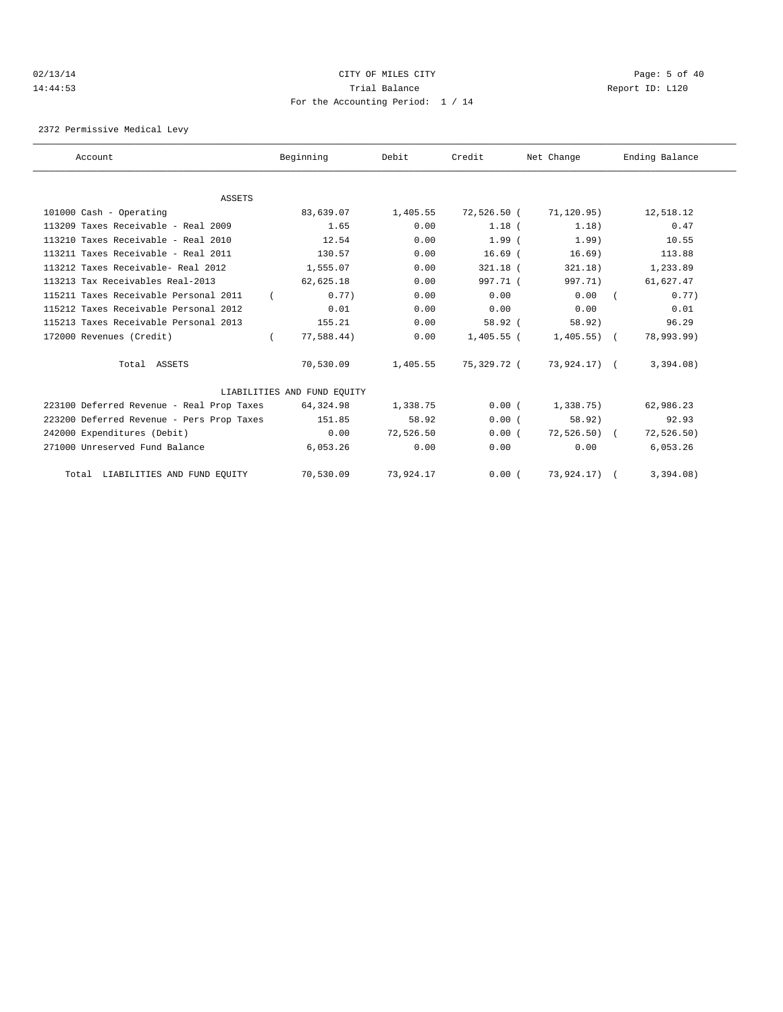#### 02/13/14 Page: 5 of 40 14:44:53 Trial Balance Report ID: L120 For the Accounting Period: 1 / 14

2372 Permissive Medical Levy

| Account                                   | Beginning                   | Debit     | Credit      | Net Change    | Ending Balance |
|-------------------------------------------|-----------------------------|-----------|-------------|---------------|----------------|
|                                           |                             |           |             |               |                |
| ASSETS                                    |                             |           |             |               |                |
| 101000 Cash - Operating                   | 83,639.07                   | 1,405.55  | 72,526.50 ( | 71,120.95)    | 12,518.12      |
| 113209 Taxes Receivable - Real 2009       | 1.65                        | 0.00      | $1.18$ (    | 1.18)         | 0.47           |
| 113210 Taxes Receivable - Real 2010       | 12.54                       | 0.00      | $1.99$ $($  | 1.99)         | 10.55          |
| 113211 Taxes Receivable - Real 2011       | 130.57                      | 0.00      | $16.69$ $($ | 16.69)        | 113.88         |
| 113212 Taxes Receivable- Real 2012        | 1,555.07                    | 0.00      | $321.18$ (  | 321.18)       | 1,233.89       |
| 113213 Tax Receivables Real-2013          | 62,625.18                   | 0.00      | 997.71 (    | 997.71)       | 61,627.47      |
| 115211 Taxes Receivable Personal 2011     | 0.77                        | 0.00      | 0.00        | 0.00          | 0.77           |
| 115212 Taxes Receivable Personal 2012     | 0.01                        | 0.00      | 0.00        | 0.00          | 0.01           |
| 115213 Taxes Receivable Personal 2013     | 155.21                      | 0.00      | 58.92(      | 58.92)        | 96.29          |
| 172000 Revenues (Credit)                  | 77,588.44)                  | 0.00      | 1,405.55 (  | $1,405.55)$ ( | 78,993.99)     |
| Total ASSETS                              | 70,530.09                   | 1,405.55  | 75,329.72 ( | 73,924.17) (  | 3,394.08)      |
|                                           | LIABILITIES AND FUND EQUITY |           |             |               |                |
| 223100 Deferred Revenue - Real Prop Taxes | 64,324.98                   | 1,338.75  | 0.00(       | $1,338.75$ )  | 62,986.23      |
| 223200 Deferred Revenue - Pers Prop Taxes | 151.85                      | 58.92     | 0.00(       | 58.92         | 92.93          |
| 242000 Expenditures (Debit)               | 0.00                        | 72,526.50 | 0.00(       | $72,526.50$ ( | 72, 526.50)    |
| 271000 Unreserved Fund Balance            | 6,053.26                    | 0.00      | 0.00        | 0.00          | 6,053.26       |
| Total LIABILITIES AND FUND EQUITY         | 70,530.09                   | 73,924.17 | 0.00(       | 73,924.17) (  | 3,394.08)      |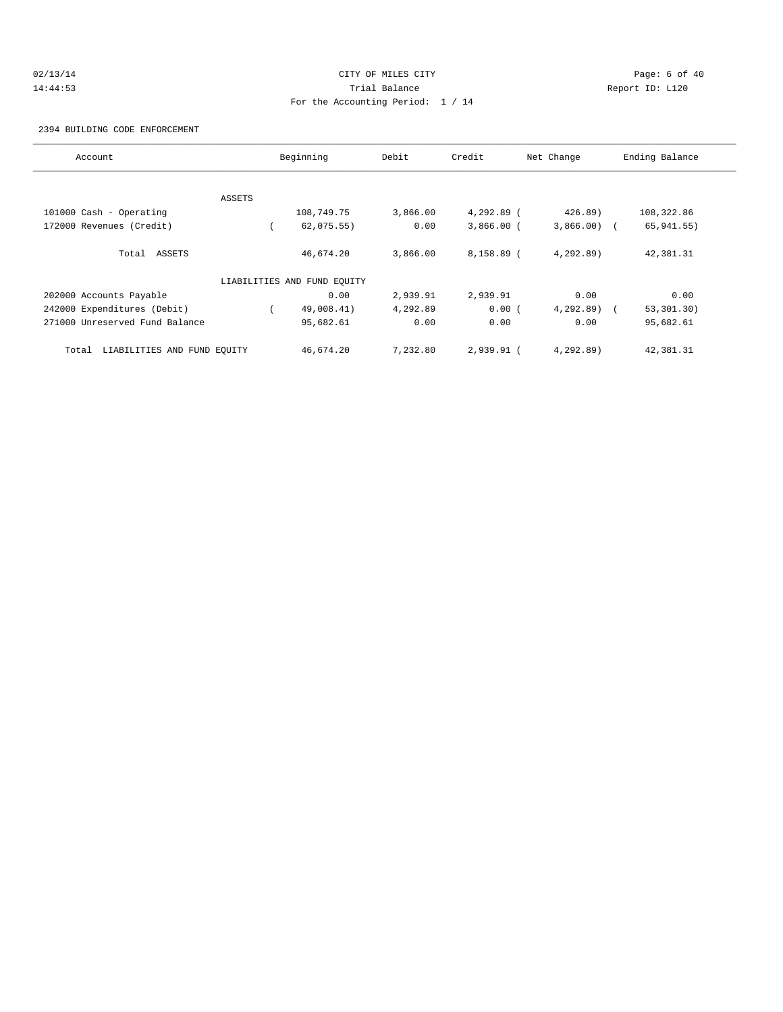# 02/13/14 Page: 6 of 40 14:44:53 Trial Balance Report ID: L120 For the Accounting Period: 1 / 14

#### 2394 BUILDING CODE ENFORCEMENT

| Account                              |        | Beginning                   | Debit    | Credit       | Net Change   | Ending Balance |
|--------------------------------------|--------|-----------------------------|----------|--------------|--------------|----------------|
|                                      |        |                             |          |              |              |                |
|                                      | ASSETS |                             |          |              |              |                |
| 101000 Cash - Operating              |        | 108,749.75                  | 3,866.00 | 4,292.89 (   | 426.89)      | 108,322.86     |
| 172000 Revenues (Credit)             |        | 62,075.55)                  | 0.00     | $3,866.00$ ( | $3,866.00$ ( | 65,941.55)     |
| Total ASSETS                         |        | 46,674.20                   | 3,866.00 | $8,158.89$ ( | 4,292.89)    | 42,381.31      |
|                                      |        | LIABILITIES AND FUND EQUITY |          |              |              |                |
| 202000 Accounts Payable              |        | 0.00                        | 2,939.91 | 2,939.91     | 0.00         | 0.00           |
| 242000 Expenditures (Debit)          |        | 49,008.41)                  | 4,292.89 | 0.00(        | $4,292.89$ ( | 53, 301, 30)   |
| 271000 Unreserved Fund Balance       |        | 95,682.61                   | 0.00     | 0.00         | 0.00         | 95,682.61      |
| LIABILITIES AND FUND EQUITY<br>Total |        | 46,674.20                   | 7,232.80 | $2,939.91$ ( | 4,292.89)    | 42,381.31      |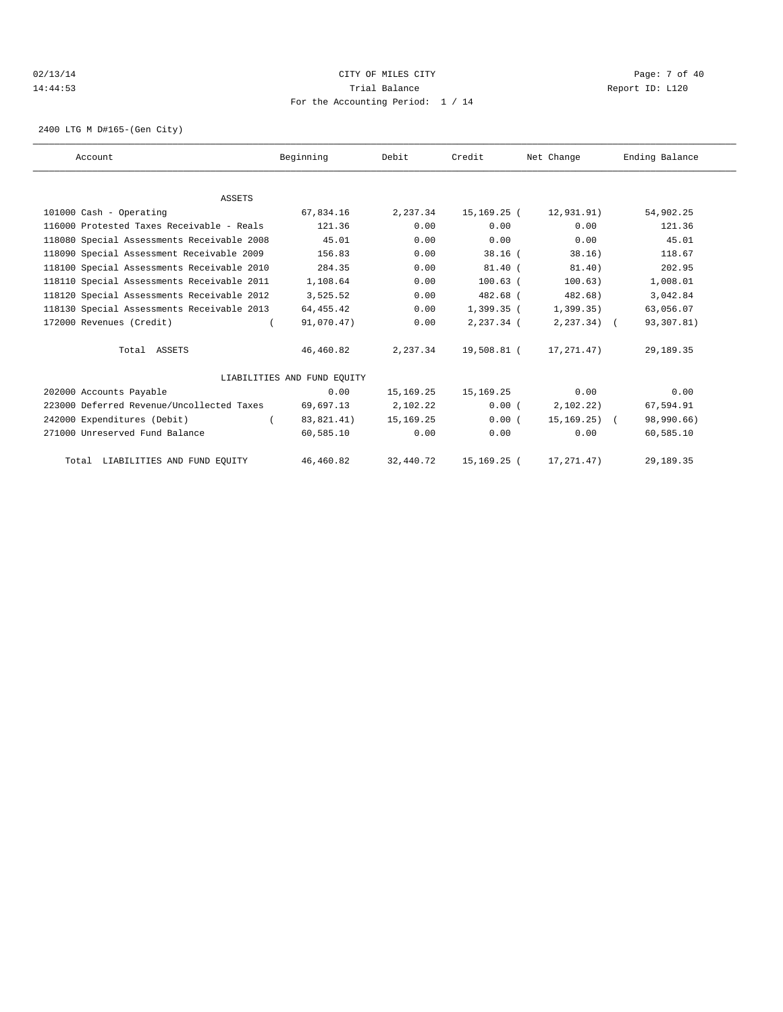# 02/13/14 Page: 7 of 40 14:44:53 Trial Balance Report ID: L120 For the Accounting Period: 1 / 14

2400 LTG M D#165-(Gen City)

| Account                                    | Beginning                   | Debit       | Credit        | Net Change       | Ending Balance |
|--------------------------------------------|-----------------------------|-------------|---------------|------------------|----------------|
|                                            |                             |             |               |                  |                |
| <b>ASSETS</b>                              |                             |             |               |                  |                |
| 101000 Cash - Operating                    | 67,834.16                   | 2,237.34    | 15,169.25 (   | 12,931.91)       | 54,902.25      |
| 116000 Protested Taxes Receivable - Reals  | 121.36                      | 0.00        | 0.00          | 0.00             | 121.36         |
| 118080 Special Assessments Receivable 2008 | 45.01                       | 0.00        | 0.00          | 0.00             | 45.01          |
| 118090 Special Assessment Receivable 2009  | 156.83                      | 0.00        | $38.16$ (     | 38.16)           | 118.67         |
| 118100 Special Assessments Receivable 2010 | 284.35                      | 0.00        | $81.40$ (     | 81.40)           | 202.95         |
| 118110 Special Assessments Receivable 2011 | 1,108.64                    | 0.00        | $100.63$ $($  | 100.63)          | 1,008.01       |
| 118120 Special Assessments Receivable 2012 | 3,525.52                    | 0.00        | 482.68 (      | $482.68$ )       | 3,042.84       |
| 118130 Special Assessments Receivable 2013 | 64,455.42                   | 0.00        | $1,399.35$ (  | 1,399.35)        | 63,056.07      |
| 172000 Revenues (Credit)                   | 91,070.47)                  | 0.00        | $2.237.34$ (  | $2, 237.34$ (    | 93,307.81)     |
| Total ASSETS                               | 46,460.82                   | 2,237.34    | 19,508.81 (   | 17,271.47)       | 29, 189. 35    |
|                                            | LIABILITIES AND FUND EOUITY |             |               |                  |                |
| 202000 Accounts Payable                    | 0.00                        | 15,169.25   | 15,169.25     | 0.00             | 0.00           |
| 223000 Deferred Revenue/Uncollected Taxes  | 69,697.13                   | 2,102.22    | 0.00(         | 2,102.22)        | 67,594.91      |
| 242000 Expenditures (Debit)                | 83,821.41)                  | 15, 169. 25 | 0.00(         | $15, 169, 25)$ ( | 98,990.66)     |
| 271000 Unreserved Fund Balance             | 60,585.10                   | 0.00        | 0.00          | 0.00             | 60,585.10      |
| Total LIABILITIES AND FUND EQUITY          | 46,460.82                   | 32,440.72   | 15, 169. 25 ( | 17, 271.47)      | 29,189.35      |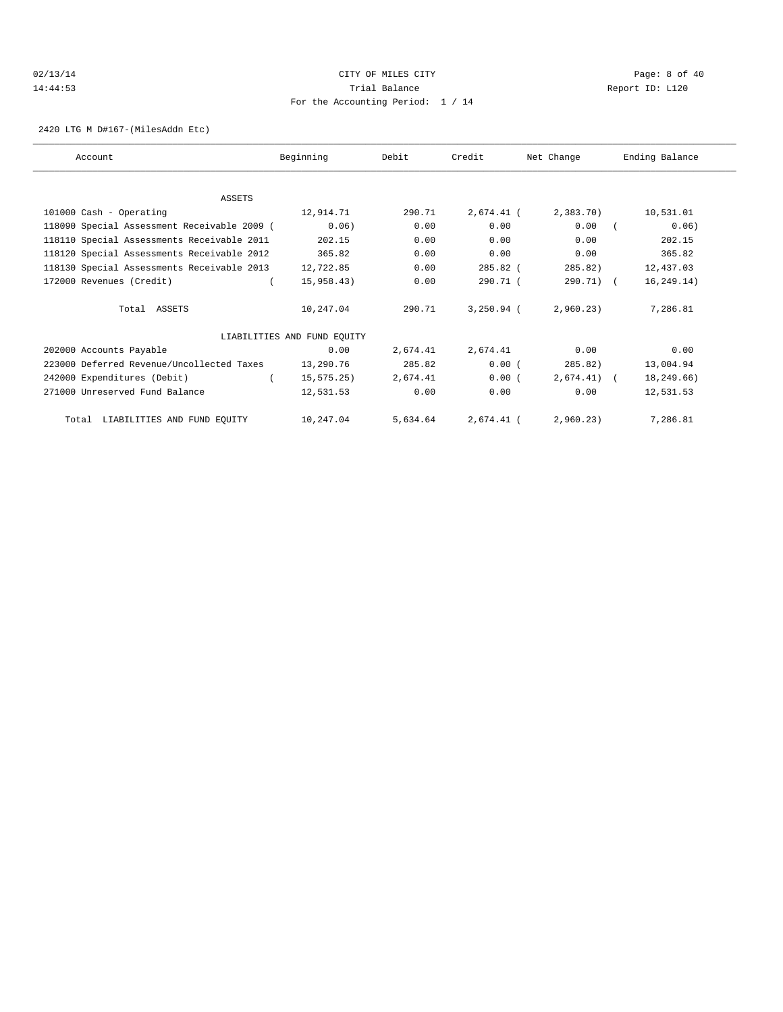# 02/13/14 Page: 8 of 40 14:44:53 Trial Balance Report ID: L120 For the Accounting Period: 1 / 14

2420 LTG M D#167-(MilesAddn Etc)

| Account                                     | Beginning                   | Debit    | Credit       | Net Change   | Ending Balance |
|---------------------------------------------|-----------------------------|----------|--------------|--------------|----------------|
|                                             |                             |          |              |              |                |
| ASSETS                                      |                             |          |              |              |                |
| 101000 Cash - Operating                     | 12,914.71                   | 290.71   | 2,674.41 (   | 2,383.70     | 10,531.01      |
| 118090 Special Assessment Receivable 2009 ( | 0.06)                       | 0.00     | 0.00         | 0.00         | 0.06)          |
| 118110 Special Assessments Receivable 2011  | 202.15                      | 0.00     | 0.00         | 0.00         | 202.15         |
| 118120 Special Assessments Receivable 2012  | 365.82                      | 0.00     | 0.00         | 0.00         | 365.82         |
| 118130 Special Assessments Receivable 2013  | 12,722.85                   | 0.00     | 285.82 (     | 285.82       | 12,437.03      |
| 172000 Revenues (Credit)                    | 15,958.43)                  | 0.00     | 290.71 (     | 290.71) (    | 16, 249.14)    |
| Total ASSETS                                | 10,247.04                   | 290.71   | $3,250.94$ ( | 2,960.23)    | 7,286.81       |
|                                             | LIABILITIES AND FUND EQUITY |          |              |              |                |
| 202000 Accounts Payable                     | 0.00                        | 2,674.41 | 2,674.41     | 0.00         | 0.00           |
| 223000 Deferred Revenue/Uncollected Taxes   | 13,290.76                   | 285.82   | 0.00(        | 285.82)      | 13,004.94      |
| 242000 Expenditures (Debit)                 | 15, 575.25)                 | 2,674.41 | 0.00(        | $2,674.41$ ( | 18,249.66)     |
| 271000 Unreserved Fund Balance              | 12,531.53                   | 0.00     | 0.00         | 0.00         | 12,531.53      |
| Total LIABILITIES AND FUND EQUITY           | 10,247.04                   | 5,634.64 | 2,674.41 (   | 2,960.23)    | 7,286.81       |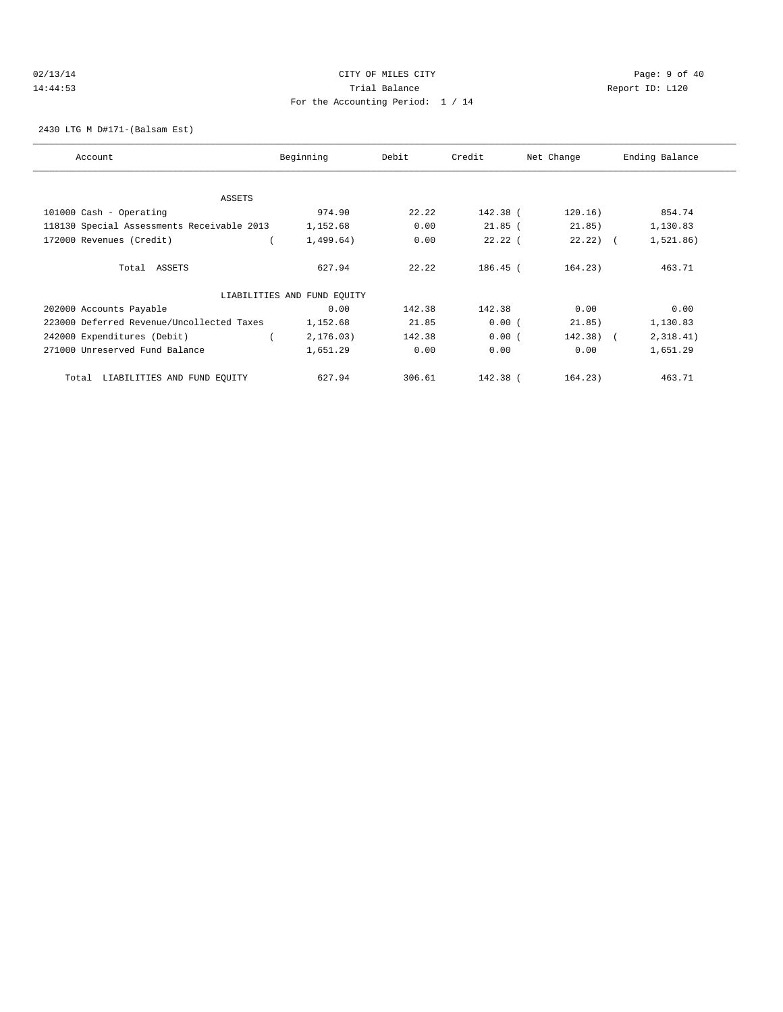# 02/13/14 Page: 9 of 40 14:44:53 Trial Balance Report ID: L120 For the Accounting Period: 1 / 14

#### 2430 LTG M D#171-(Balsam Est)

| Account                                    | Beginning                   | Debit  | Credit    | Net Change  | Ending Balance |
|--------------------------------------------|-----------------------------|--------|-----------|-------------|----------------|
| ASSETS                                     |                             |        |           |             |                |
| 101000 Cash - Operating                    | 974.90                      | 22.22  | 142.38 (  | 120.16)     | 854.74         |
| 118130 Special Assessments Receivable 2013 | 1,152.68                    | 0.00   | $21.85$ ( | 21.85)      | 1,130.83       |
|                                            |                             |        |           |             |                |
| 172000 Revenues (Credit)                   | 1,499.64)                   | 0.00   | $22.22$ ( | $22.22$ ) ( | 1,521.86)      |
| Total ASSETS                               | 627.94                      | 22.22  | 186.45 (  | 164.23)     | 463.71         |
|                                            | LIABILITIES AND FUND EQUITY |        |           |             |                |
| 202000 Accounts Payable                    | 0.00                        | 142.38 | 142.38    | 0.00        | 0.00           |
| 223000 Deferred Revenue/Uncollected Taxes  | 1,152.68                    | 21.85  | 0.00(     | 21.85)      | 1,130.83       |
| 242000 Expenditures (Debit)                | 2, 176.03)                  | 142.38 | 0.00(     | $142.38$ (  | 2,318.41)      |
| 271000 Unreserved Fund Balance             | 1,651.29                    | 0.00   | 0.00      | 0.00        | 1,651.29       |
| LIABILITIES AND FUND EQUITY<br>Total       | 627.94                      | 306.61 | 142.38 (  | 164.23)     | 463.71         |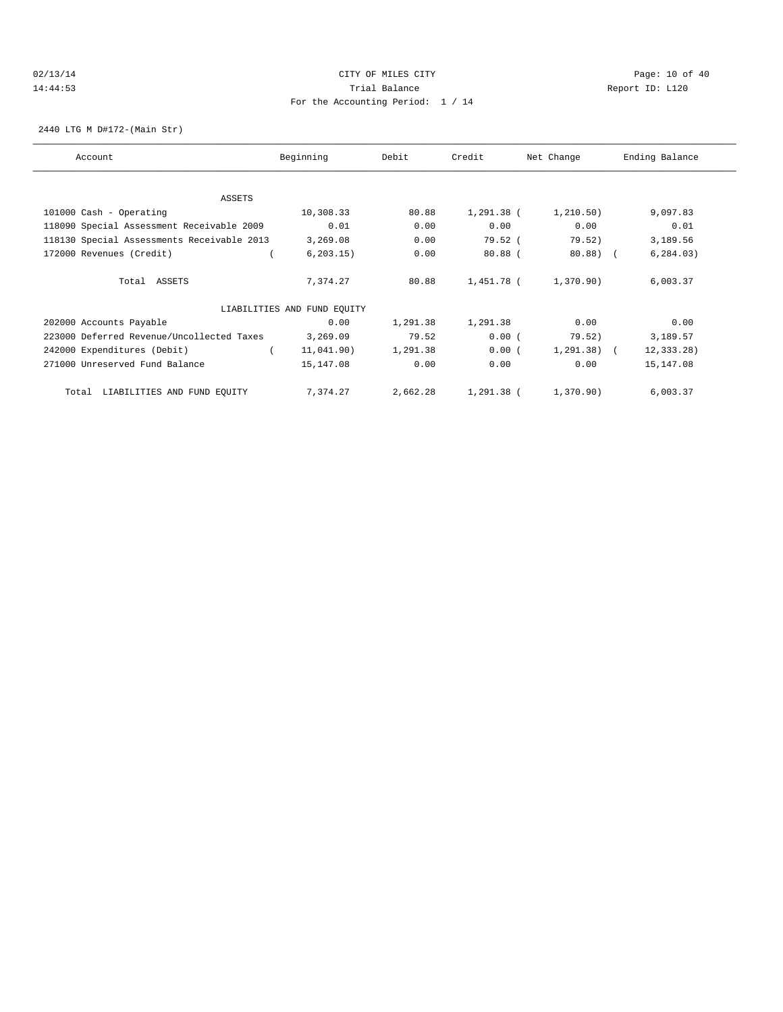#### 02/13/14 Page: 10 of 40 14:44:53 Trial Balance Report ID: L120 For the Accounting Period: 1 / 14

2440 LTG M D#172-(Main Str)

| Account                                    | Beginning                   | Debit    | Credit       | Net Change   | Ending Balance |
|--------------------------------------------|-----------------------------|----------|--------------|--------------|----------------|
|                                            |                             |          |              |              |                |
| ASSETS                                     |                             |          |              |              |                |
| 101000 Cash - Operating                    | 10,308.33                   | 80.88    | $1,291.38$ ( | 1, 210.50)   | 9,097.83       |
| 118090 Special Assessment Receivable 2009  | 0.01                        | 0.00     | 0.00         | 0.00         | 0.01           |
| 118130 Special Assessments Receivable 2013 | 3,269.08                    | 0.00     | 79.52 (      | 79.52)       | 3,189.56       |
| 172000 Revenues (Credit)                   | 6, 203.15)                  | 0.00     | $80.88$ (    | $80.88$ (    | 6, 284.03)     |
| Total ASSETS                               | 7,374.27                    | 80.88    | 1,451.78 (   | 1,370.90)    | 6,003.37       |
|                                            | LIABILITIES AND FUND EQUITY |          |              |              |                |
| 202000 Accounts Payable                    | 0.00                        | 1,291.38 | 1,291.38     | 0.00         | 0.00           |
| 223000 Deferred Revenue/Uncollected Taxes  | 3,269.09                    | 79.52    | 0.00(        | 79.52)       | 3,189.57       |
| 242000 Expenditures (Debit)                | 11,041.90)                  | 1,291.38 | 0.00(        | $1,291.38$ ( | 12, 333.28)    |
| 271000 Unreserved Fund Balance             | 15,147.08                   | 0.00     | 0.00         | 0.00         | 15,147.08      |
| LIABILITIES AND FUND EQUITY<br>Total       | 7,374.27                    | 2,662.28 | 1,291.38 (   | 1,370.90)    | 6,003.37       |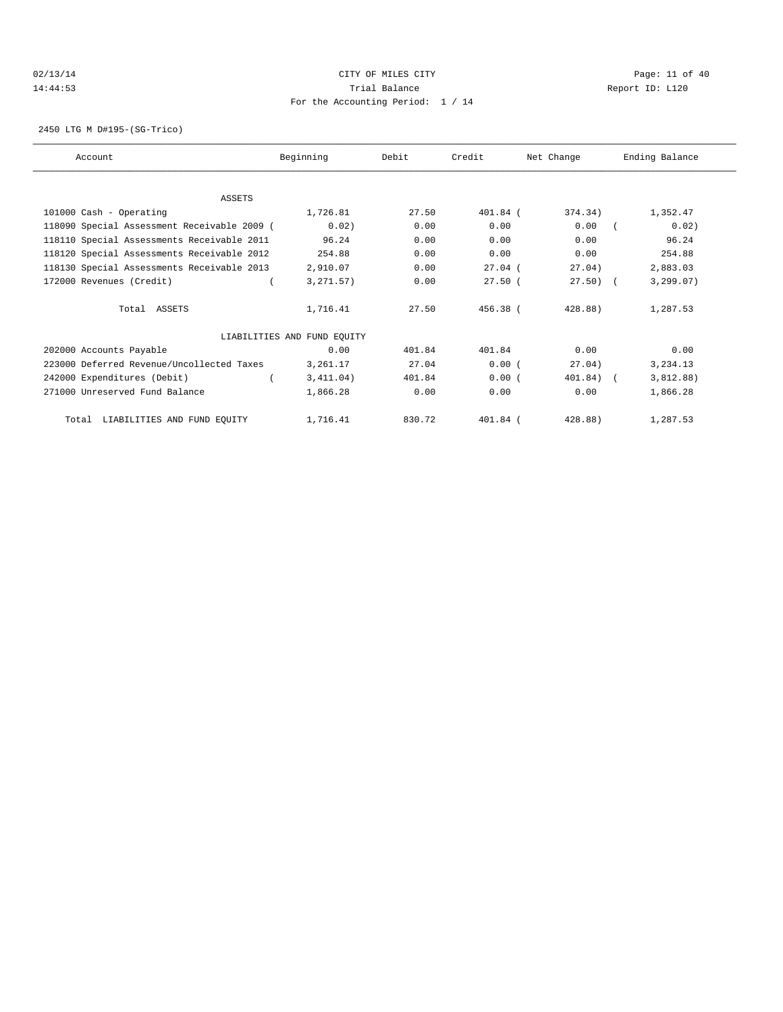#### 02/13/14 Page: 11 of 40 14:44:53 Trial Balance Report ID: L120 For the Accounting Period: 1 / 14

2450 LTG M D#195-(SG-Trico)

| Account                                     | Beginning                   | Debit  | Credit     | Net Change   | Ending Balance |
|---------------------------------------------|-----------------------------|--------|------------|--------------|----------------|
|                                             |                             |        |            |              |                |
| <b>ASSETS</b>                               |                             |        |            |              |                |
| 101000 Cash - Operating                     | 1,726.81                    | 27.50  | $401.84$ ( | 374.34)      | 1,352.47       |
| 118090 Special Assessment Receivable 2009 ( | 0.02)                       | 0.00   | 0.00       | 0.00         | 0.02)          |
| 118110 Special Assessments Receivable 2011  | 96.24                       | 0.00   | 0.00       | 0.00         | 96.24          |
| 118120 Special Assessments Receivable 2012  | 254.88                      | 0.00   | 0.00       | 0.00         | 254.88         |
| 118130 Special Assessments Receivable 2013  | 2,910.07                    | 0.00   | $27.04$ (  | 27.04)       | 2,883.03       |
| 172000 Revenues (Credit)                    | 3, 271.57)                  | 0.00   | $27.50$ (  | $27.50$ (    | 3, 299.07)     |
| Total ASSETS                                | 1,716.41                    | 27.50  | 456.38 (   | 428.88)      | 1,287.53       |
|                                             | LIABILITIES AND FUND EQUITY |        |            |              |                |
| 202000 Accounts Payable                     | 0.00                        | 401.84 | 401.84     | 0.00         | 0.00           |
| 223000 Deferred Revenue/Uncollected Taxes   | 3,261.17                    | 27.04  | 0.00(      | 27.04)       | 3,234.13       |
| 242000 Expenditures (Debit)                 | 3,411.04)                   | 401.84 | 0.00(      | $401.84$ ) ( | 3,812.88)      |
| 271000 Unreserved Fund Balance              | 1,866.28                    | 0.00   | 0.00       | 0.00         | 1,866.28       |
| Total LIABILITIES AND FUND EQUITY           | 1,716.41                    | 830.72 | $401.84$ ( | 428.88)      | 1,287.53       |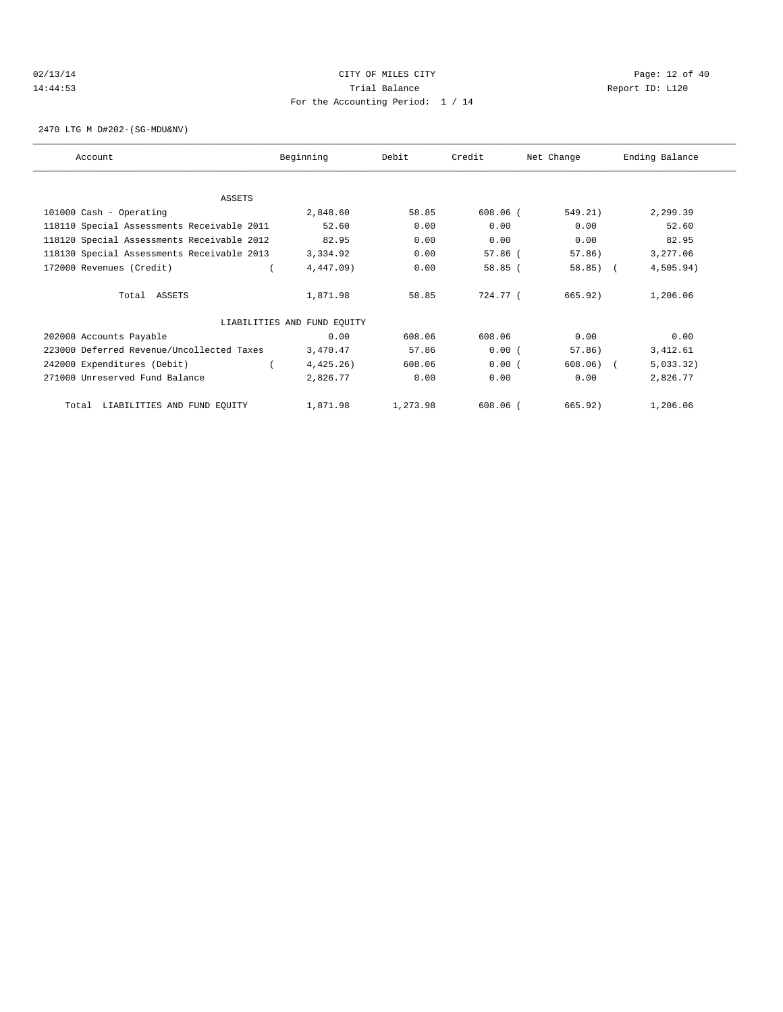#### 02/13/14 Page: 12 of 40 14:44:53 Trial Balance Report ID: L120 For the Accounting Period: 1 / 14

2470 LTG M D#202-(SG-MDU&NV)

| Account                                    | Beginning                   | Debit    | Credit     | Net Change  | Ending Balance |
|--------------------------------------------|-----------------------------|----------|------------|-------------|----------------|
|                                            |                             |          |            |             |                |
| <b>ASSETS</b>                              |                             |          |            |             |                |
| 101000 Cash - Operating                    | 2,848.60                    | 58.85    | $608.06$ ( | 549.21)     | 2,299.39       |
| 118110 Special Assessments Receivable 2011 | 52.60                       | 0.00     | 0.00       | 0.00        | 52.60          |
| 118120 Special Assessments Receivable 2012 | 82.95                       | 0.00     | 0.00       | 0.00        | 82.95          |
| 118130 Special Assessments Receivable 2013 | 3,334.92                    | 0.00     | $57.86$ (  | 57.86)      | 3,277.06       |
| 172000 Revenues (Credit)                   | 4,447.09)                   | 0.00     | 58.85(     | $58.85$ ) ( | 4,505.94)      |
| Total ASSETS                               | 1,871.98                    | 58.85    | 724.77 (   | 665.92)     | 1,206.06       |
|                                            | LIABILITIES AND FUND EQUITY |          |            |             |                |
| 202000 Accounts Payable                    | 0.00                        | 608.06   | 608.06     | 0.00        | 0.00           |
| 223000 Deferred Revenue/Uncollected Taxes  | 3,470.47                    | 57.86    | 0.00(      | 57.86)      | 3,412.61       |
| 242000 Expenditures (Debit)                | $4,425.26$ )                | 608.06   | 0.00(      | 608.06)     | 5,033.32)      |
| 271000 Unreserved Fund Balance             | 2,826.77                    | 0.00     | 0.00       | 0.00        | 2,826.77       |
| LIABILITIES AND FUND EQUITY<br>Total       | 1,871.98                    | 1,273.98 | $608.06$ ( | 665.92)     | 1,206.06       |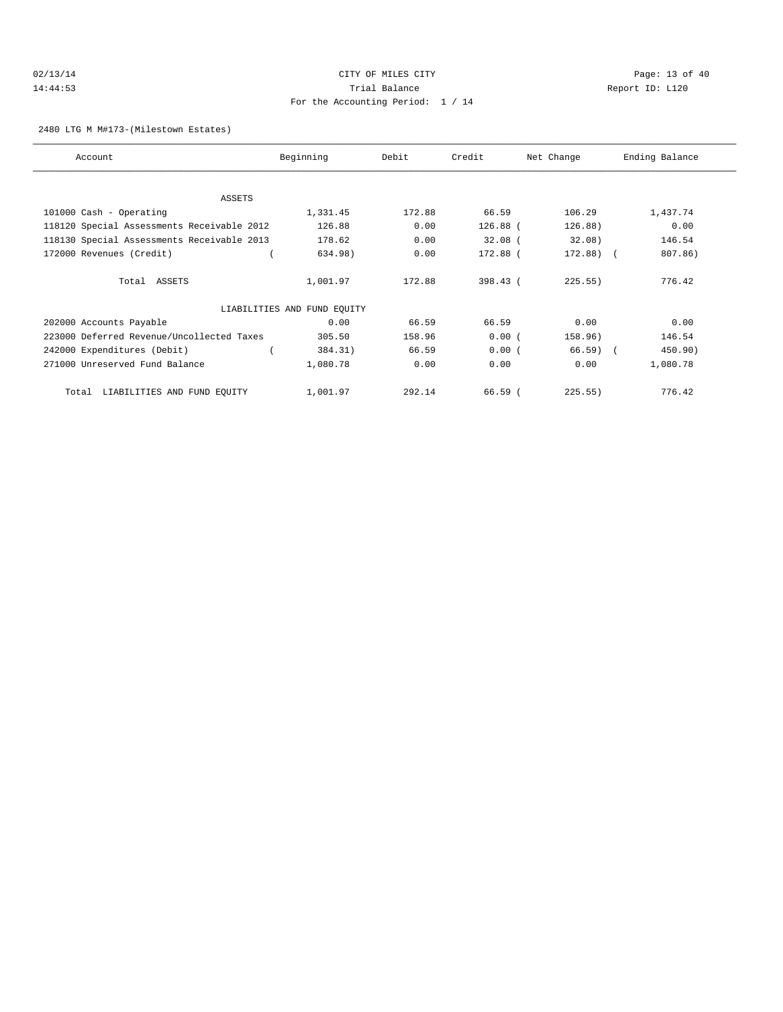# 02/13/14 Page: 13 of 40 14:44:53 Trial Balance Report ID: L120 For the Accounting Period: 1 / 14

2480 LTG M M#173-(Milestown Estates)

| Account                                    | Beginning                   | Debit  | Credit     | Net Change   | Ending Balance |
|--------------------------------------------|-----------------------------|--------|------------|--------------|----------------|
|                                            |                             |        |            |              |                |
| <b>ASSETS</b>                              |                             |        |            |              |                |
| 101000 Cash - Operating                    | 1,331.45                    | 172.88 | 66.59      | 106.29       | 1,437.74       |
| 118120 Special Assessments Receivable 2012 | 126.88                      | 0.00   | $126.88$ ( | 126.88)      | 0.00           |
| 118130 Special Assessments Receivable 2013 | 178.62                      | 0.00   | $32.08$ (  | 32.08)       | 146.54         |
| 172000 Revenues (Credit)                   | 634.98)                     | 0.00   | 172.88 (   | $172.88$ ) ( | 807.86)        |
| Total ASSETS                               | 1,001.97                    | 172.88 | 398.43 (   | 225.55)      | 776.42         |
|                                            | LIABILITIES AND FUND EQUITY |        |            |              |                |
| 202000 Accounts Payable                    | 0.00                        | 66.59  | 66.59      | 0.00         | 0.00           |
| 223000 Deferred Revenue/Uncollected Taxes  | 305.50                      | 158.96 | 0.00(      | 158.96)      | 146.54         |
| 242000 Expenditures (Debit)                | 384.31)                     | 66.59  | 0.00(      | $66.59$ (    | 450.90)        |
| 271000 Unreserved Fund Balance             | 1,080.78                    | 0.00   | 0.00       | 0.00         | 1,080.78       |
| LIABILITIES AND FUND EQUITY<br>Total       | 1,001.97                    | 292.14 | 66.59(     | 225.55)      | 776.42         |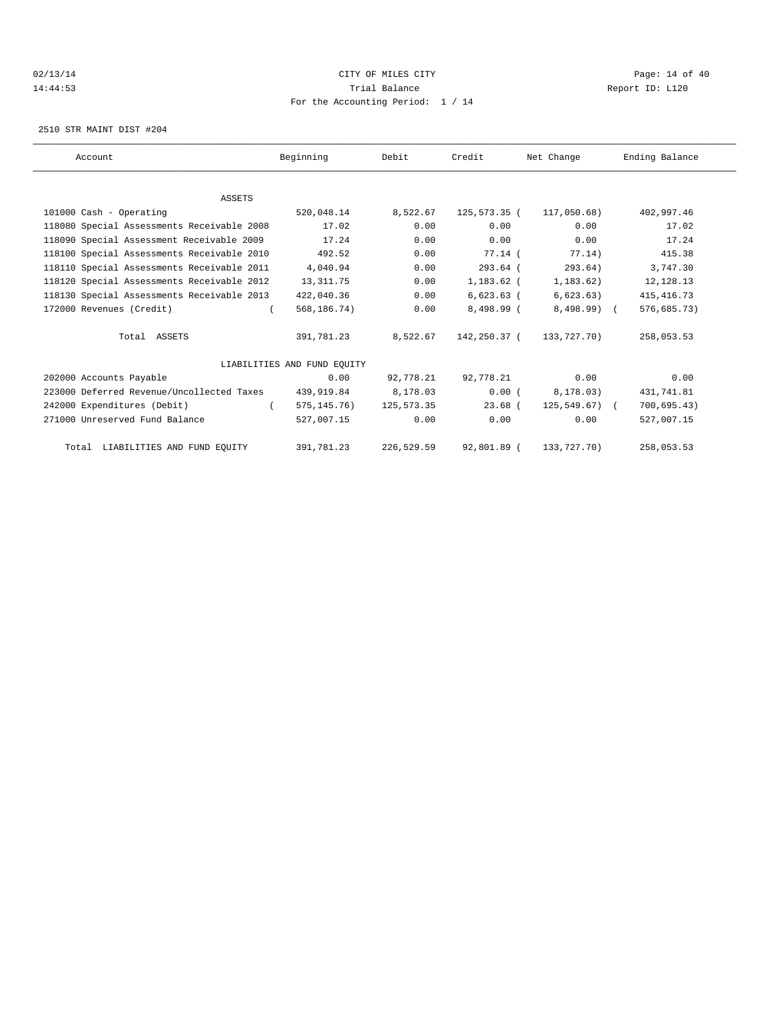# $O(13/14$   $O(13/14)$   $O(13/14)$   $O(13/14)$   $O(13/14)$   $O(13/14)$   $O(13/14)$   $O(13/14)$   $O(13/14)$ 14:44:53 Trial Balance Report ID: L120 For the Accounting Period: 1 / 14

2510 STR MAINT DIST #204

| Account                                    | Beginning                   | Debit        | Credit       | Net Change        | Ending Balance |  |
|--------------------------------------------|-----------------------------|--------------|--------------|-------------------|----------------|--|
|                                            |                             |              |              |                   |                |  |
| <b>ASSETS</b>                              |                             |              |              |                   |                |  |
| 101000 Cash - Operating                    | 520,048.14                  | 8,522.67     | 125,573.35 ( | 117,050.68)       | 402,997.46     |  |
| 118080 Special Assessments Receivable 2008 | 17.02                       | 0.00         | 0.00         | 0.00              | 17.02          |  |
| 118090 Special Assessment Receivable 2009  | 17.24                       | 0.00         | 0.00         | 0.00              | 17.24          |  |
| 118100 Special Assessments Receivable 2010 | 492.52                      | 0.00         | 77.14 (      | 77.14)            | 415.38         |  |
| 118110 Special Assessments Receivable 2011 | 4,040.94                    | 0.00         | $293.64$ (   | 293.64)           | 3,747.30       |  |
| 118120 Special Assessments Receivable 2012 | 13, 311.75                  | 0.00         | $1,183.62$ ( | 1,183.62)         | 12,128.13      |  |
| 118130 Special Assessments Receivable 2013 | 422,040.36                  | 0.00         | $6,623.63$ ( | 6,623.63)         | 415, 416.73    |  |
| 172000 Revenues (Credit)                   | 568,186.74)                 | 0.00         | 8,498.99 (   | $8,498.99$ (      | 576,685.73)    |  |
| Total ASSETS                               | 391,781.23                  | 8,522.67     | 142,250.37 ( | 133,727.70)       | 258,053.53     |  |
|                                            | LIABILITIES AND FUND EOUITY |              |              |                   |                |  |
| 202000 Accounts Payable                    | 0.00                        | 92,778.21    | 92,778.21    | 0.00              | 0.00           |  |
| 223000 Deferred Revenue/Uncollected Taxes  | 439,919.84                  | 8,178.03     | 0.00(        | 8,178.03)         | 431,741.81     |  |
| 242000 Expenditures (Debit)                | 575, 145. 76)               | 125, 573, 35 | $23.68$ (    | $125, 549.67$ ) ( | 700, 695.43)   |  |
| 271000 Unreserved Fund Balance             | 527,007.15                  | 0.00         | 0.00         | 0.00              | 527,007.15     |  |
| Total LIABILITIES AND FUND EQUITY          | 391,781.23                  | 226,529.59   | 92,801.89 (  | 133,727.70)       | 258,053.53     |  |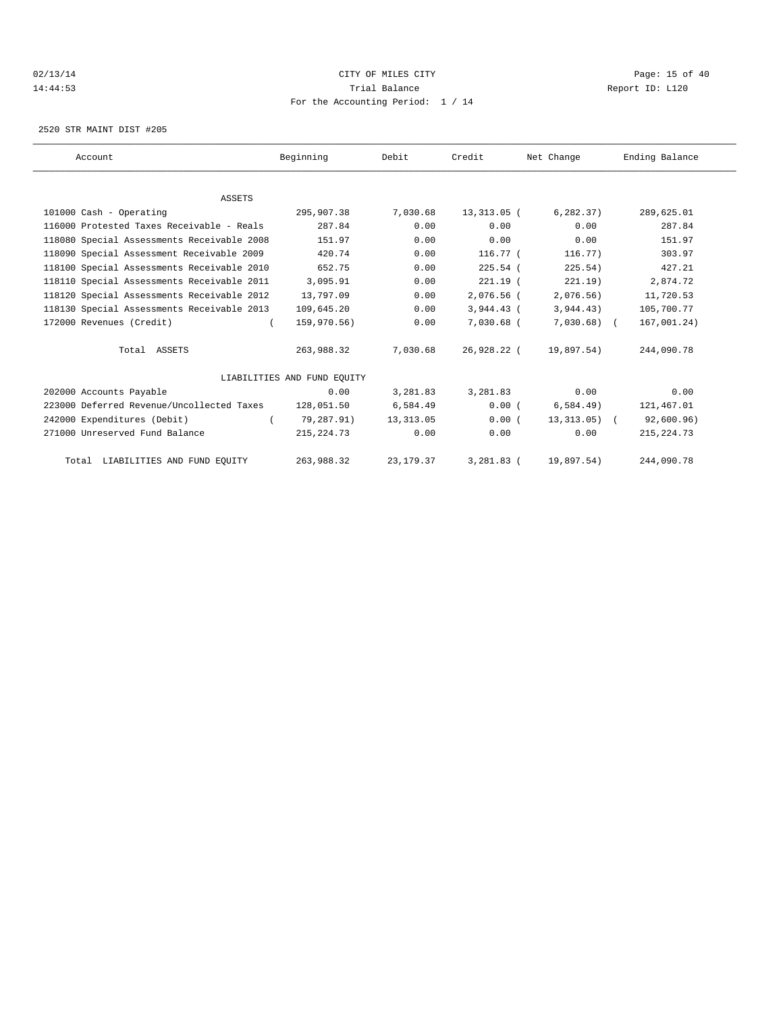# $O(13/14$   $O(13/14)$   $O(13/14)$   $O(13/14)$   $O(13/14)$   $O(13/14)$   $O(13/14)$   $O(13/14)$   $O(13/14)$ 14:44:53 Trial Balance Report ID: L120 For the Accounting Period: 1 / 14

2520 STR MAINT DIST #205

| Account                                    | Beginning                   | Debit       | Credit       | Net Change    | Ending Balance |
|--------------------------------------------|-----------------------------|-------------|--------------|---------------|----------------|
|                                            |                             |             |              |               |                |
| <b>ASSETS</b>                              |                             |             |              |               |                |
| 101000 Cash - Operating                    | 295,907.38                  | 7,030.68    | 13,313.05 (  | 6, 282, 37)   | 289,625.01     |
| 116000 Protested Taxes Receivable - Reals  | 287.84                      | 0.00        | 0.00         | 0.00          | 287.84         |
| 118080 Special Assessments Receivable 2008 | 151.97                      | 0.00        | 0.00         | 0.00          | 151.97         |
| 118090 Special Assessment Receivable 2009  | 420.74                      | 0.00        | $116.77$ (   | 116.77)       | 303.97         |
| 118100 Special Assessments Receivable 2010 | 652.75                      | 0.00        | $225.54$ (   | 225.54)       | 427.21         |
| 118110 Special Assessments Receivable 2011 | 3,095.91                    | 0.00        | $221.19$ (   | 221.19)       | 2,874.72       |
| 118120 Special Assessments Receivable 2012 | 13,797.09                   | 0.00        | 2,076.56 (   | 2,076.56)     | 11,720.53      |
| 118130 Special Assessments Receivable 2013 | 109,645.20                  | 0.00        | $3,944.43$ ( | 3,944.43)     | 105,700.77     |
| 172000 Revenues (Credit)                   | 159,970.56)                 | 0.00        | 7,030.68 (   | $7,030.68$ (  | 167,001.24)    |
| Total ASSETS                               | 263,988.32                  | 7,030.68    | 26,928.22 (  | 19,897.54)    | 244,090.78     |
|                                            | LIABILITIES AND FUND EOUITY |             |              |               |                |
| 202000 Accounts Payable                    | 0.00                        | 3,281.83    | 3,281.83     | 0.00          | 0.00           |
| 223000 Deferred Revenue/Uncollected Taxes  | 128,051.50                  | 6,584.49    | 0.00(        | 6,584.49)     | 121,467.01     |
| 242000 Expenditures (Debit)                | 79,287.91)                  | 13, 313, 05 | 0.00(        | $13,313.05$ ( | 92,600.96)     |
| 271000 Unreserved Fund Balance             | 215, 224. 73                | 0.00        | 0.00         | 0.00          | 215, 224.73    |
| Total LIABILITIES AND FUND EQUITY          | 263,988.32                  | 23, 179. 37 | $3,281.83$ ( | 19,897.54)    | 244,090.78     |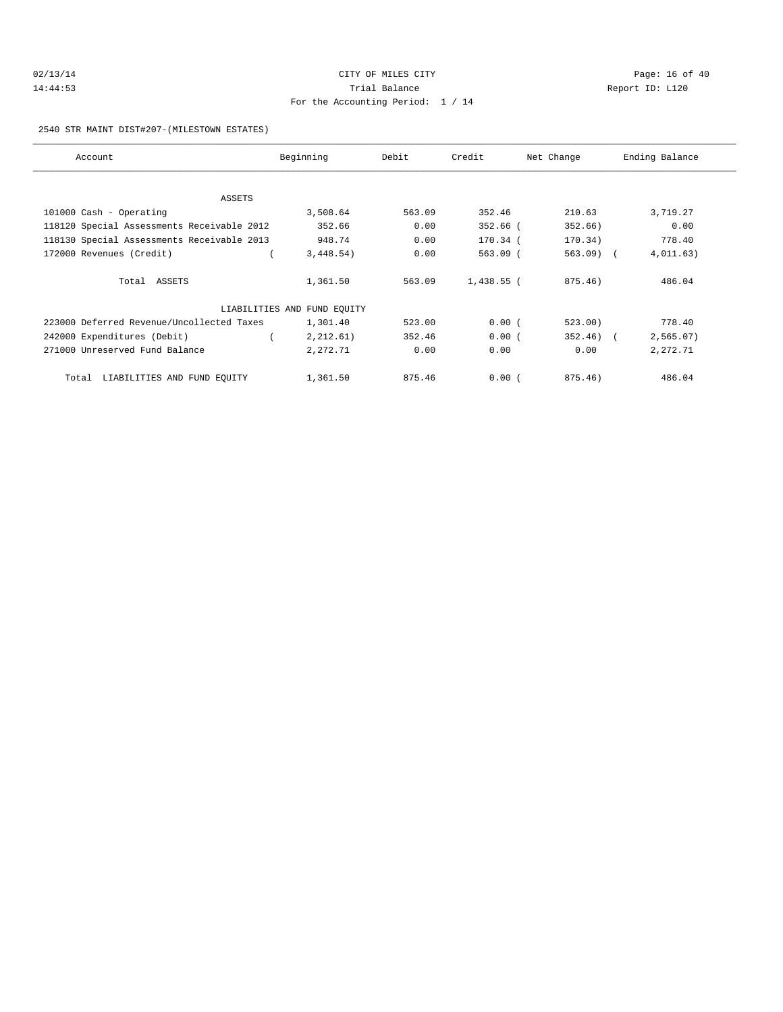| 02/13/14 |  |  |  |  |
|----------|--|--|--|--|
| 14:44:53 |  |  |  |  |

# CITY OF MILES CITY CONTROL CONTROL CONTROL CONTROL CITY Trial Balance and Trial Balance Report ID: L120 For the Accounting Period: 1 / 14

#### 2540 STR MAINT DIST#207-(MILESTOWN ESTATES)

| Account                                    | Beginning                   | Debit  | Credit       | Net Change   | Ending Balance |
|--------------------------------------------|-----------------------------|--------|--------------|--------------|----------------|
|                                            |                             |        |              |              |                |
| ASSETS                                     |                             |        |              |              |                |
| 101000 Cash - Operating                    | 3,508.64                    | 563.09 | 352.46       | 210.63       | 3,719.27       |
| 118120 Special Assessments Receivable 2012 | 352.66                      | 0.00   | 352.66 (     | 352.66)      | 0.00           |
| 118130 Special Assessments Receivable 2013 | 948.74                      | 0.00   | 170.34 (     | 170.34)      | 778.40         |
| 172000 Revenues (Credit)                   | 3,448.54)                   | 0.00   | $563.09$ (   | $563.09$ (   | 4,011.63)      |
| Total ASSETS                               | 1,361.50                    | 563.09 | $1,438.55$ ( | 875.46)      | 486.04         |
|                                            | LIABILITIES AND FUND EQUITY |        |              |              |                |
| 223000 Deferred Revenue/Uncollected Taxes  | 1,301.40                    | 523.00 | 0.00(        | 523.00)      | 778.40         |
| 242000 Expenditures (Debit)                | 2,212.61)                   | 352.46 | 0.00(        | $352.46$ ) ( | 2,565.07)      |
| 271000 Unreserved Fund Balance             | 2,272.71                    | 0.00   | 0.00         | 0.00         | 2,272.71       |
| LIABILITIES AND FUND EQUITY<br>Total       | 1,361.50                    | 875.46 | 0.00(        | $875.46$ )   | 486.04         |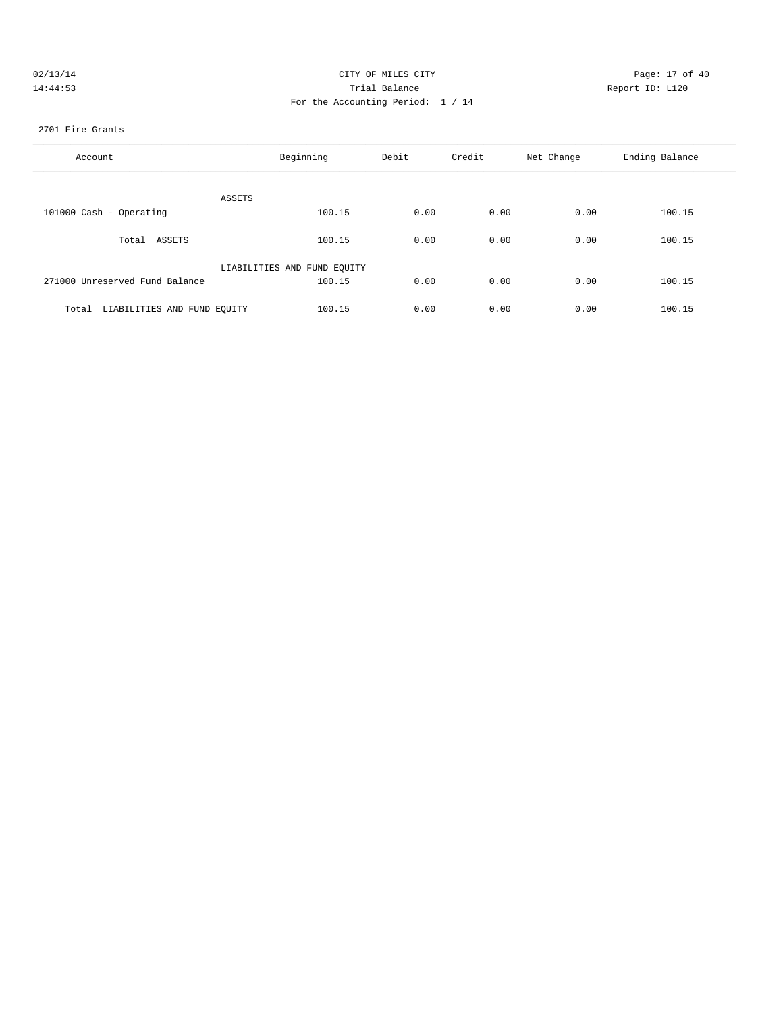| 02/13/14 | CITY OF MILES CITY                | Page: 17 of 40  |
|----------|-----------------------------------|-----------------|
| 14:44:53 | Trial Balance                     | Report ID: L120 |
|          | For the Accounting Period: 1 / 14 |                 |

#### 2701 Fire Grants

| Account                              | Beginning                   | Debit | Credit | Net Change | Ending Balance |
|--------------------------------------|-----------------------------|-------|--------|------------|----------------|
| ASSETS                               |                             |       |        |            |                |
| 101000 Cash - Operating              | 100.15                      | 0.00  | 0.00   | 0.00       | 100.15         |
| Total ASSETS                         | 100.15                      | 0.00  | 0.00   | 0.00       | 100.15         |
|                                      | LIABILITIES AND FUND EQUITY |       |        |            |                |
| 271000 Unreserved Fund Balance       | 100.15                      | 0.00  | 0.00   | 0.00       | 100.15         |
| LIABILITIES AND FUND EQUITY<br>Total | 100.15                      | 0.00  | 0.00   | 0.00       | 100.15         |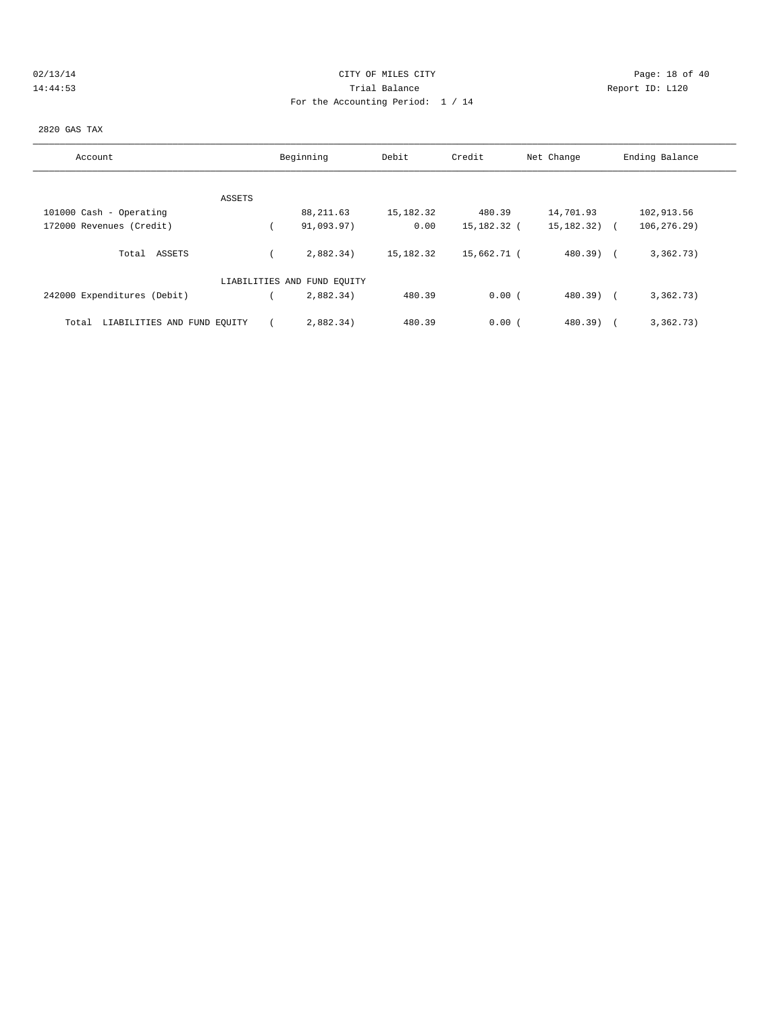| 02/13/1 |  |  |  |
|---------|--|--|--|
| 4:44:   |  |  |  |

# CITY OF MILES CITY CONTROL CONTROL CONTROL CONTROL CITY 14:44:53 Trial Balance Report ID: L120 For the Accounting Period: 1 / 14

#### 2820 GAS TAX

| Account                              | Beginning                   | Debit     | Credit      | Net Change   | Ending Balance |
|--------------------------------------|-----------------------------|-----------|-------------|--------------|----------------|
|                                      |                             |           |             |              |                |
| ASSETS                               |                             |           |             |              |                |
| 101000 Cash - Operating              | 88, 211.63                  | 15,182.32 | 480.39      | 14,701.93    | 102,913.56     |
| 172000 Revenues (Credit)             | 91,093.97)                  | 0.00      | 15,182.32 ( | 15,182.32) ( | 106, 276.29)   |
| Total ASSETS                         | 2.882.34                    | 15,182.32 | 15,662.71 ( | 480.39) (    | 3,362.73)      |
|                                      | LIABILITIES AND FUND EQUITY |           |             |              |                |
| 242000 Expenditures (Debit)          | 2,882.34)                   | 480.39    | 0.00(       | 480.39) (    | 3,362.73)      |
| LIABILITIES AND FUND EQUITY<br>Total | 2,882.34)                   | 480.39    | 0.00(       | $480.39$ )   | 3,362.73)      |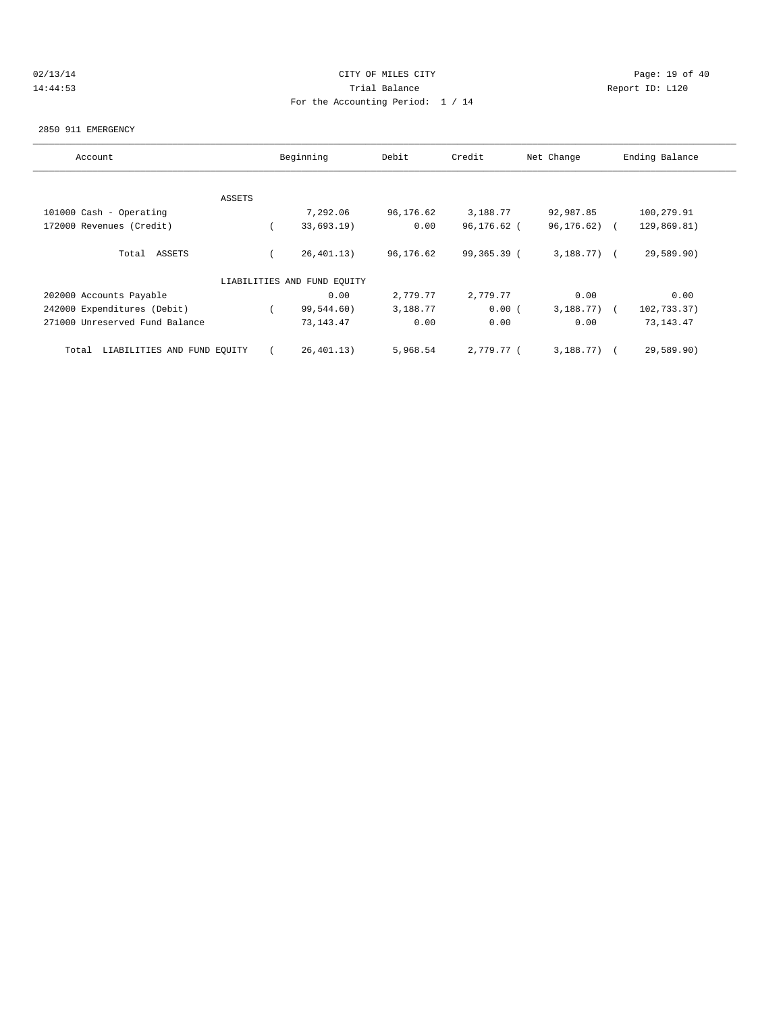# 02/13/14 Page: 19 of 40 14:44:53 Trial Balance Report ID: L120 For the Accounting Period: 1 / 14

#### 2850 911 EMERGENCY

| Account                              |        | Beginning                   | Debit     | Credit      | Net Change     | Ending Balance |
|--------------------------------------|--------|-----------------------------|-----------|-------------|----------------|----------------|
|                                      |        |                             |           |             |                |                |
|                                      | ASSETS |                             |           |             |                |                |
| 101000 Cash - Operating              |        | 7,292.06                    | 96,176.62 | 3,188.77    | 92,987.85      | 100,279.91     |
| 172000 Revenues (Credit)             |        | 33,693.19)                  | 0.00      | 96,176.62 ( | 96,176.62)     | 129,869.81)    |
| Total ASSETS                         |        | 26, 401.13)                 | 96,176.62 | 99,365.39 ( | $3,188.77$ ) ( | 29,589.90)     |
|                                      |        | LIABILITIES AND FUND EQUITY |           |             |                |                |
| 202000 Accounts Payable              |        | 0.00                        | 2,779.77  | 2,779.77    | 0.00           | 0.00           |
| 242000 Expenditures (Debit)          |        | 99,544.60)                  | 3,188.77  | 0.00(       | $3,188.77$ ) ( | 102,733.37)    |
| 271000 Unreserved Fund Balance       |        | 73, 143. 47                 | 0.00      | 0.00        | 0.00           | 73, 143. 47    |
| LIABILITIES AND FUND EQUITY<br>Total |        | 26, 401.13)                 | 5,968.54  | 2,779.77 (  | 3,188.77)      | 29,589.90)     |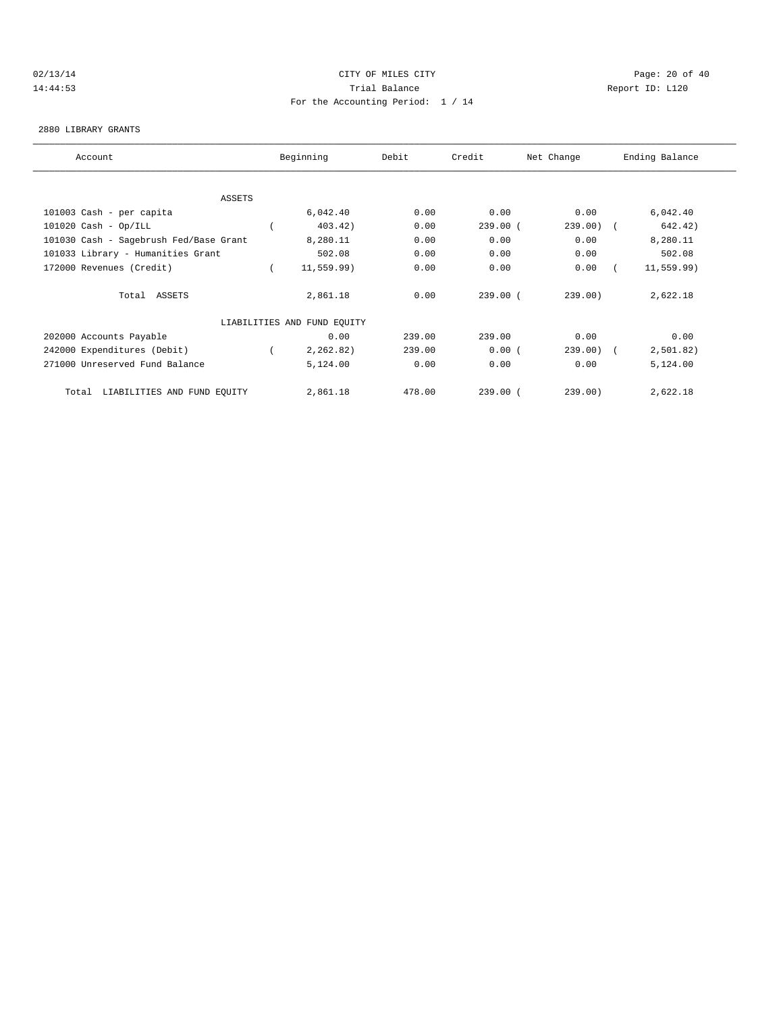# 02/13/14 Page: 20 of 40 14:44:53 Trial Balance Report ID: L120 For the Accounting Period: 1 / 14

#### 2880 LIBRARY GRANTS

| Account                                | Beginning                   | Debit  | Credit     | Net Change | Ending Balance |  |
|----------------------------------------|-----------------------------|--------|------------|------------|----------------|--|
|                                        |                             |        |            |            |                |  |
| ASSETS                                 |                             |        |            |            |                |  |
| 101003 Cash - per capita               | 6,042.40                    | 0.00   | 0.00       | 0.00       | 6,042.40       |  |
| $101020$ Cash - Op/ILL                 | 403.42)                     | 0.00   | 239.00(    | $239.00$ ( | 642.42)        |  |
| 101030 Cash - Sagebrush Fed/Base Grant | 8,280.11                    | 0.00   | 0.00       | 0.00       | 8,280.11       |  |
| 101033 Library - Humanities Grant      | 502.08                      | 0.00   | 0.00       | 0.00       | 502.08         |  |
| 172000 Revenues (Credit)               | 11, 559.99)                 | 0.00   | 0.00       | 0.00       | 11, 559.99)    |  |
| Total ASSETS                           | 2,861.18                    | 0.00   | 239.00(    | 239.00)    | 2,622.18       |  |
|                                        | LIABILITIES AND FUND EQUITY |        |            |            |                |  |
| 202000 Accounts Payable                | 0.00                        | 239.00 | 239.00     | 0.00       | 0.00           |  |
| 242000 Expenditures (Debit)            | 2, 262, 82)                 | 239.00 | 0.00(      | $239.00$ ( | 2,501.82)      |  |
| 271000 Unreserved Fund Balance         | 5,124.00                    | 0.00   | 0.00       | 0.00       | 5,124.00       |  |
| LIABILITIES AND FUND EQUITY<br>Total   | 2,861.18                    | 478.00 | $239.00$ ( | 239.00)    | 2,622.18       |  |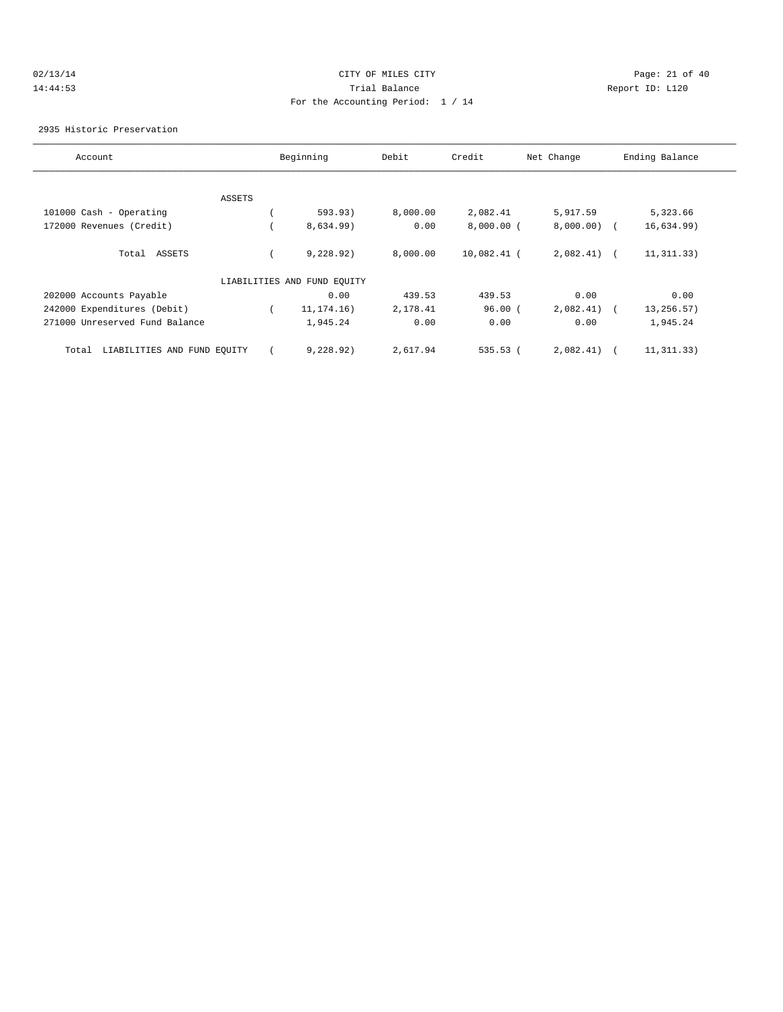# 02/13/14 Page: 21 of 40 14:44:53 Trial Balance Report ID: L120 For the Accounting Period: 1 / 14

#### 2935 Historic Preservation

| Account                              |        | Beginning                   | Debit    | Credit       | Net Change    | Ending Balance |
|--------------------------------------|--------|-----------------------------|----------|--------------|---------------|----------------|
|                                      |        |                             |          |              |               |                |
|                                      | ASSETS |                             |          |              |               |                |
| 101000 Cash - Operating              |        | 593.93)                     | 8,000.00 | 2,082.41     | 5,917.59      | 5,323.66       |
| 172000 Revenues (Credit)             |        | 8,634.99)                   | 0.00     | $8,000.00$ ( | $8,000.00)$ ( | 16,634.99)     |
| Total ASSETS                         |        | 9,228.92)                   | 8,000.00 | 10,082.41 (  | $2,082.41$ (  | 11, 311.33)    |
|                                      |        | LIABILITIES AND FUND EQUITY |          |              |               |                |
| 202000 Accounts Payable              |        | 0.00                        | 439.53   | 439.53       | 0.00          | 0.00           |
| 242000 Expenditures (Debit)          |        | 11, 174. 16)                | 2,178.41 | 96.00(       | 2,082.41)     | 13,256.57)     |
| 271000 Unreserved Fund Balance       |        | 1,945.24                    | 0.00     | 0.00         | 0.00          | 1,945.24       |
| LIABILITIES AND FUND EQUITY<br>Total |        | 9,228,92)                   | 2,617.94 | $535.53$ (   | 2,082.41)     | 11, 311, 33)   |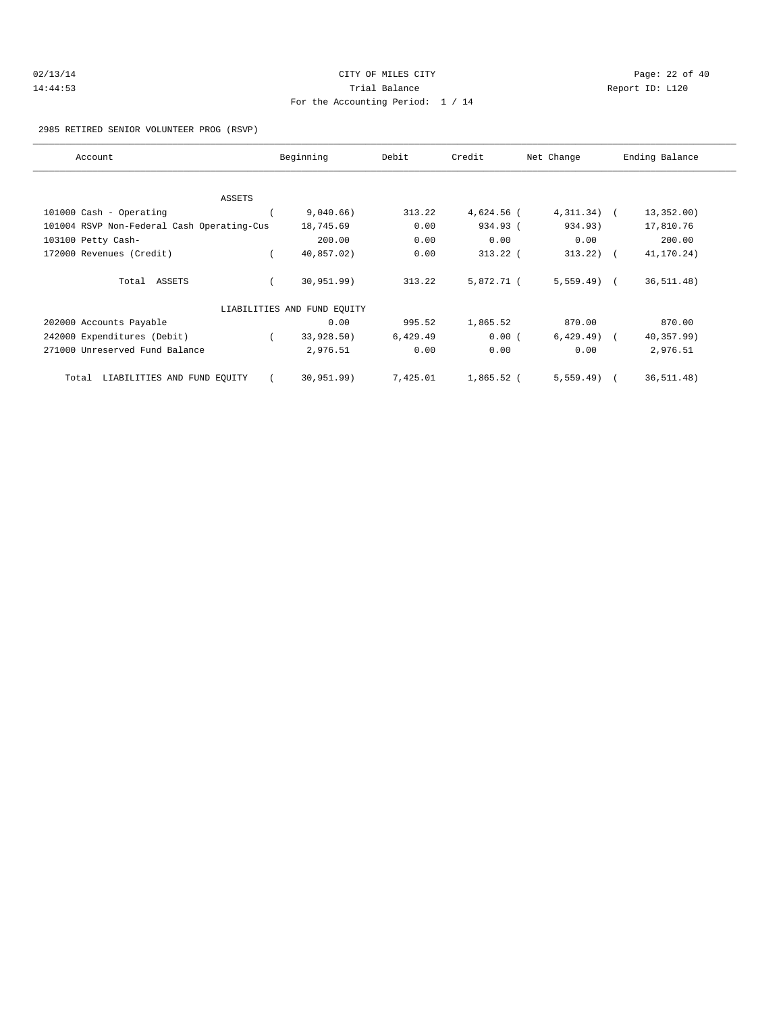| 02/13/14 | CITY OF MILES CITY                | Page: 22 of 40 |  |
|----------|-----------------------------------|----------------|--|
| 14:44:53 | Trial Balance<br>Report ID: L120  |                |  |
|          | For the Accounting Period: 1 / 14 |                |  |

#### 2985 RETIRED SENIOR VOLUNTEER PROG (RSVP)

| Account                                    | Beginning                   | Debit    | Credit       | Net Change    | Ending Balance |
|--------------------------------------------|-----------------------------|----------|--------------|---------------|----------------|
|                                            |                             |          |              |               |                |
| ASSETS                                     |                             |          |              |               |                |
| 101000 Cash - Operating                    | 9,040.66)                   | 313.22   | 4,624.56 (   | $4,311.34)$ ( | 13,352.00)     |
| 101004 RSVP Non-Federal Cash Operating-Cus | 18,745.69                   | 0.00     | 934.93 (     | 934.93)       | 17,810.76      |
| 103100 Petty Cash-                         | 200.00                      | 0.00     | 0.00         | 0.00          | 200.00         |
| 172000 Revenues (Credit)                   | 40,857.02)                  | 0.00     | $313.22$ (   | 313.22        | 41,170.24)     |
| Total ASSETS                               | 30,951.99)                  | 313.22   | 5,872.71 (   | $5,559.49$ (  | 36, 511.48)    |
|                                            | LIABILITIES AND FUND EQUITY |          |              |               |                |
| 202000 Accounts Payable                    | 0.00                        | 995.52   | 1,865.52     | 870.00        | 870.00         |
| 242000 Expenditures (Debit)                | 33,928.50)                  | 6,429.49 | 0.00(        | $6,429.49$ (  | 40,357.99)     |
| 271000 Unreserved Fund Balance             | 2,976.51                    | 0.00     | 0.00         | 0.00          | 2,976.51       |
| LIABILITIES AND FUND EQUITY<br>Total       | 30, 951.99)                 | 7,425.01 | $1,865.52$ ( | $5,559.49$ (  | 36, 511.48)    |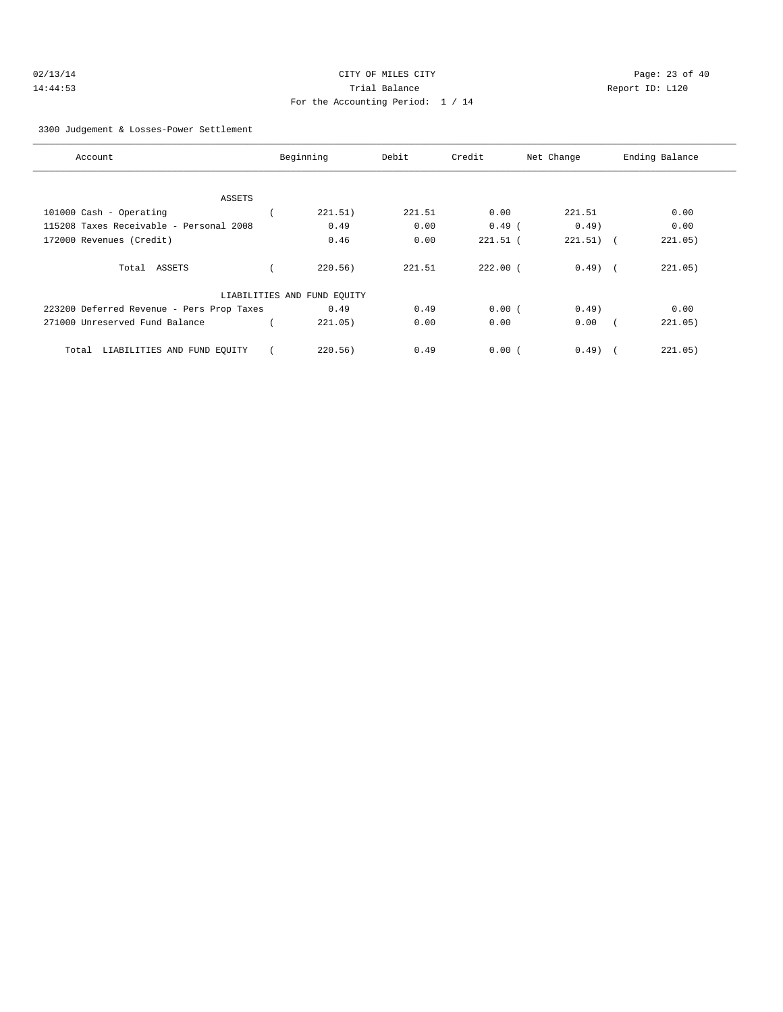| 02/13/14 | CITY OF MILES CITY                | Page: 23 of 40  |
|----------|-----------------------------------|-----------------|
| 14:44:53 | Trial Balance                     | Report ID: L120 |
|          | For the Accounting Period: 1 / 14 |                 |

3300 Judgement & Losses-Power Settlement

| Account                                   | Beginning                   | Debit  | Credit     | Net Change  | Ending Balance        |
|-------------------------------------------|-----------------------------|--------|------------|-------------|-----------------------|
|                                           |                             |        |            |             |                       |
| ASSETS                                    |                             |        |            |             |                       |
| 101000 Cash - Operating                   | 221.51)                     | 221.51 | 0.00       | 221.51      | 0.00                  |
| 115208 Taxes Receivable - Personal 2008   | 0.49                        | 0.00   | $0.49$ (   | $0.49$ )    | 0.00                  |
| 172000 Revenues (Credit)                  | 0.46                        | 0.00   | $221.51$ ( | $221.51)$ ( | 221.05)               |
|                                           |                             |        |            |             |                       |
| Total ASSETS                              | 220.56)                     | 221.51 | $222.00$ ( | $0.49$ (    | 221.05)               |
|                                           |                             |        |            |             |                       |
|                                           | LIABILITIES AND FUND EQUITY |        |            |             |                       |
| 223200 Deferred Revenue - Pers Prop Taxes | 0.49                        | 0.49   | 0.00(      | 0.49        | 0.00                  |
| 271000 Unreserved Fund Balance            | 221.05)                     | 0.00   | 0.00       | 0.00        | 221.05)<br>$\sqrt{2}$ |
|                                           |                             |        |            |             |                       |
| LIABILITIES AND FUND EQUITY<br>Total      | 220.56)                     | 0.49   | 0.00(      | $0.49$ $($  | 221.05)               |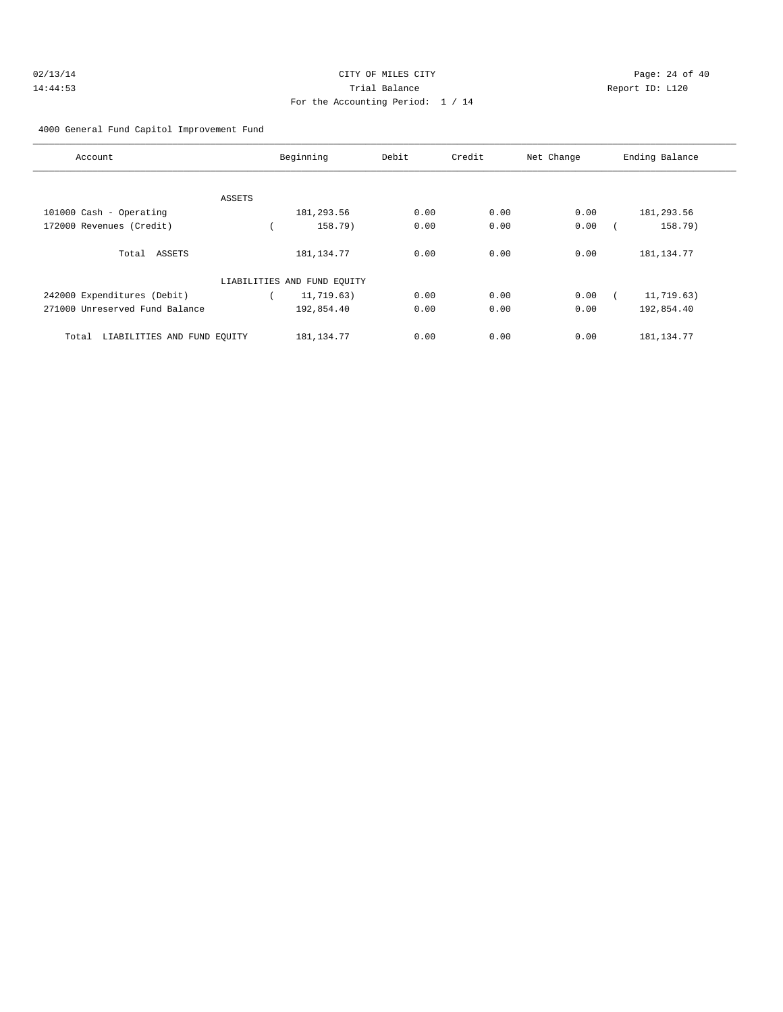| 02/13/14 | CITY OF MILES CITY                | Page: 24 of 40  |
|----------|-----------------------------------|-----------------|
| 14:44:53 | Trial Balance                     | Report ID: L120 |
|          | For the Accounting Period: 1 / 14 |                 |

4000 General Fund Capitol Improvement Fund

| Account                              |        | Beginning                   | Debit | Credit | Net Change | Ending Balance |
|--------------------------------------|--------|-----------------------------|-------|--------|------------|----------------|
|                                      |        |                             |       |        |            |                |
|                                      | ASSETS |                             |       |        |            |                |
| 101000 Cash - Operating              |        | 181,293.56                  | 0.00  | 0.00   | 0.00       | 181,293.56     |
| 172000 Revenues (Credit)             |        | 158.79)                     | 0.00  | 0.00   | 0.00       | 158.79)        |
| Total ASSETS                         |        | 181, 134. 77                | 0.00  | 0.00   | 0.00       | 181, 134. 77   |
|                                      |        | LIABILITIES AND FUND EQUITY |       |        |            |                |
| 242000 Expenditures (Debit)          |        | 11,719.63)                  | 0.00  | 0.00   | 0.00       | 11,719.63)     |
| 271000 Unreserved Fund Balance       |        | 192,854.40                  | 0.00  | 0.00   | 0.00       | 192,854.40     |
| LIABILITIES AND FUND EOUITY<br>Total |        | 181, 134. 77                | 0.00  | 0.00   | 0.00       | 181, 134. 77   |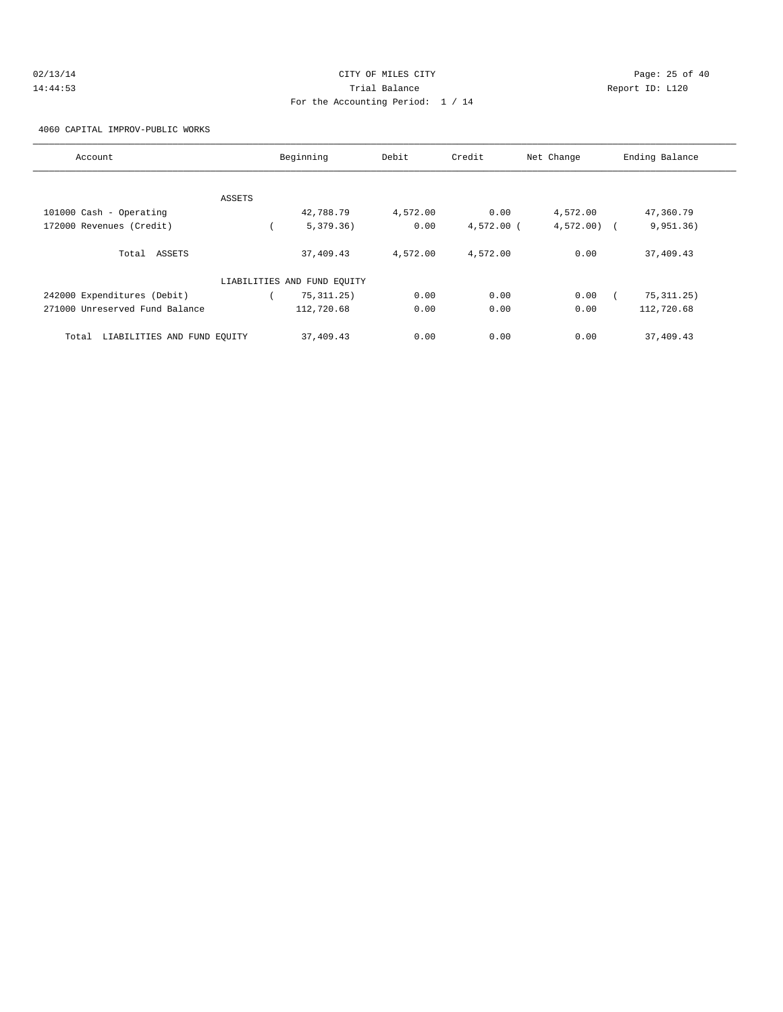| 2/13/14 |  |
|---------|--|
| 4:44:53 |  |

# $O(2/13/14$  Page: 25 of 40 14:44:53 Trial Balance Report ID: L120 For the Accounting Period: 1 / 14

4060 CAPITAL IMPROV-PUBLIC WORKS

| Account                              | Beginning                   | Debit    | Credit       | Net Change   | Ending Balance |
|--------------------------------------|-----------------------------|----------|--------------|--------------|----------------|
|                                      |                             |          |              |              |                |
| ASSETS                               |                             |          |              |              |                |
| 101000 Cash - Operating              | 42,788.79                   | 4,572.00 | 0.00         | 4,572.00     | 47,360.79      |
| 172000 Revenues (Credit)             | 5,379.36)                   | 0.00     | $4,572.00$ ( | $4,572.00$ ( | 9,951.36)      |
| Total ASSETS                         | 37,409.43                   | 4,572.00 | 4,572.00     | 0.00         | 37,409.43      |
|                                      | LIABILITIES AND FUND EQUITY |          |              |              |                |
| 242000 Expenditures (Debit)          | 75, 311, 25)                | 0.00     | 0.00         | 0.00         | 75, 311.25)    |
| 271000 Unreserved Fund Balance       | 112,720.68                  | 0.00     | 0.00         | 0.00         | 112,720.68     |
| LIABILITIES AND FUND EQUITY<br>Total | 37,409.43                   | 0.00     | 0.00         | 0.00         | 37,409.43      |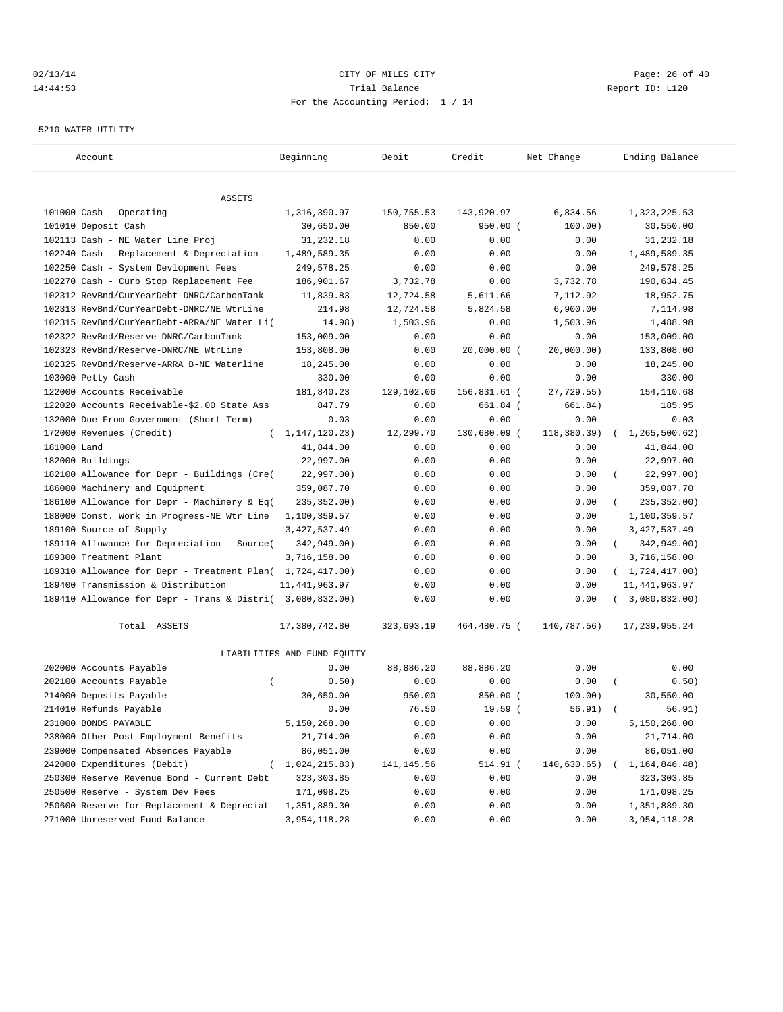#### $O(13/14$   $O(13/14)$   $O(13/14)$   $O(13/14)$   $O(13/14)$   $O(13/14)$   $O(13/14)$   $O(13/14)$   $O(13/14)$   $O(13/14)$ 14:44:53 Trial Balance Report ID: L120 For the Accounting Period: 1 / 14

#### 5210 WATER UTILITY

| Account                                                   | Beginning                   | Debit       | Credit        | Net Change  | Ending Balance            |
|-----------------------------------------------------------|-----------------------------|-------------|---------------|-------------|---------------------------|
|                                                           |                             |             |               |             |                           |
| ASSETS                                                    |                             |             |               |             |                           |
| 101000 Cash - Operating                                   | 1,316,390.97                | 150,755.53  | 143,920.97    | 6,834.56    | 1,323,225.53              |
| 101010 Deposit Cash                                       | 30,650.00                   | 850.00      | $950.00$ (    | 100.00)     | 30,550.00                 |
| 102113 Cash - NE Water Line Proj                          | 31,232.18                   | 0.00        | 0.00          | 0.00        | 31,232.18                 |
| 102240 Cash - Replacement & Depreciation                  | 1,489,589.35                | 0.00        | 0.00          | 0.00        | 1,489,589.35              |
| 102250 Cash - System Devlopment Fees                      | 249,578.25                  | 0.00        | 0.00          | 0.00        | 249,578.25                |
| 102270 Cash - Curb Stop Replacement Fee                   | 186,901.67                  | 3,732.78    | 0.00          | 3,732.78    | 190,634.45                |
| 102312 RevBnd/CurYearDebt-DNRC/CarbonTank                 | 11,839.83                   | 12,724.58   | 5,611.66      | 7,112.92    | 18,952.75                 |
| 102313 RevBnd/CurYearDebt-DNRC/NE WtrLine                 | 214.98                      | 12,724.58   | 5,824.58      | 6,900.00    | 7,114.98                  |
| 102315 RevBnd/CurYearDebt-ARRA/NE Water Li(               | 14.98)                      | 1,503.96    | 0.00          | 1,503.96    | 1,488.98                  |
| 102322 RevBnd/Reserve-DNRC/CarbonTank                     | 153,009.00                  | 0.00        | 0.00          | 0.00        | 153,009.00                |
| 102323 RevBnd/Reserve-DNRC/NE WtrLine                     | 153,808.00                  | 0.00        | $20,000.00$ ( | 20,000.00)  | 133,808.00                |
| 102325 RevBnd/Reserve-ARRA B-NE Waterline                 | 18,245.00                   | 0.00        | 0.00          | 0.00        | 18,245.00                 |
| 103000 Petty Cash                                         | 330.00                      | 0.00        | 0.00          | 0.00        | 330.00                    |
| 122000 Accounts Receivable                                | 181,840.23                  | 129,102.06  | 156,831.61 (  | 27,729.55)  | 154,110.68                |
| 122020 Accounts Receivable-\$2.00 State Ass               | 847.79                      | 0.00        | 661.84 (      | 661.84)     | 185.95                    |
| 132000 Due From Government (Short Term)                   | 0.03                        | 0.00        | 0.00          | 0.00        | 0.03                      |
| 172000 Revenues (Credit)<br>$\left($                      | 1, 147, 120. 23)            | 12,299.70   | 130,680.09 (  | 118,380.39) | 1,265,500.62)<br>$\left($ |
| 181000 Land                                               | 41,844.00                   | 0.00        | 0.00          | 0.00        | 41,844.00                 |
| 182000 Buildings                                          | 22,997.00                   | 0.00        | 0.00          | 0.00        | 22,997.00                 |
| 182100 Allowance for Depr - Buildings (Cre(               | 22,997.00)                  | 0.00        | 0.00          | 0.00        | 22,997.00)                |
| 186000 Machinery and Equipment                            | 359,087.70                  | 0.00        | 0.00          | 0.00        | 359,087.70                |
| 186100 Allowance for Depr - Machinery & Eq(               | 235, 352.00)                | 0.00        | 0.00          | 0.00        | 235, 352.00)              |
| 188000 Const. Work in Progress-NE Wtr Line                | 1,100,359.57                | 0.00        | 0.00          | 0.00        | 1,100,359.57              |
| 189100 Source of Supply                                   | 3, 427, 537.49              | 0.00        | 0.00          | 0.00        | 3, 427, 537.49            |
| 189110 Allowance for Depreciation - Source(               | 342,949.00)                 | 0.00        | 0.00          | 0.00        | 342,949.00)<br>$\left($   |
| 189300 Treatment Plant                                    | 3,716,158.00                | 0.00        | 0.00          | 0.00        | 3,716,158.00              |
| 189310 Allowance for Depr - Treatment Plan( 1,724,417.00) |                             | 0.00        | 0.00          | 0.00        | (1, 724, 417.00)          |
| 189400 Transmission & Distribution                        | 11, 441, 963.97             | 0.00        | 0.00          | 0.00        | 11, 441, 963.97           |
| 189410 Allowance for Depr - Trans & Distri( 3,080,832.00) |                             | 0.00        | 0.00          | 0.00        | 3,080,832.00)             |
| Total ASSETS                                              | 17,380,742.80               | 323,693.19  | 464,480.75 (  | 140,787.56) | 17, 239, 955.24           |
|                                                           | LIABILITIES AND FUND EQUITY |             |               |             |                           |
| 202000 Accounts Payable                                   | 0.00                        | 88,886.20   | 88,886.20     | 0.00        | 0.00                      |
| 202100 Accounts Payable<br>$\overline{ }$                 | 0.50)                       | 0.00        | 0.00          | 0.00        | 0.50)                     |
| 214000 Deposits Payable                                   | 30,650.00                   | 950.00      | $850.00$ (    | 100.00)     | 30,550.00                 |
| 214010 Refunds Payable                                    | 0.00                        | 76.50       | 19.59(        | 56.91)      | 56.91)<br>$\sqrt{2}$      |
| 231000 BONDS PAYABLE                                      | 5,150,268.00                | 0.00        | 0.00          | 0.00        | 5,150,268.00              |
| 238000 Other Post Employment Benefits                     | 21,714.00                   | 0.00        | 0.00          | 0.00        | 21,714.00                 |
| 239000 Compensated Absences Payable                       | 86,051.00                   | 0.00        | 0.00          | 0.00        | 86,051.00                 |
| 242000 Expenditures (Debit)                               | 1,024,215.83)               | 141, 145.56 | 514.91 (      | 140,630.65) | 1, 164, 846.48)           |
| 250300 Reserve Revenue Bond - Current Debt                | 323, 303.85                 | 0.00        | 0.00          | 0.00        | 323,303.85                |
| 250500 Reserve - System Dev Fees                          | 171,098.25                  | 0.00        | 0.00          | 0.00        | 171,098.25                |
| 250600 Reserve for Replacement & Depreciat                | 1,351,889.30                | 0.00        | 0.00          | 0.00        | 1,351,889.30              |
| 271000 Unreserved Fund Balance                            | 3,954,118.28                | 0.00        | 0.00          | 0.00        | 3,954,118.28              |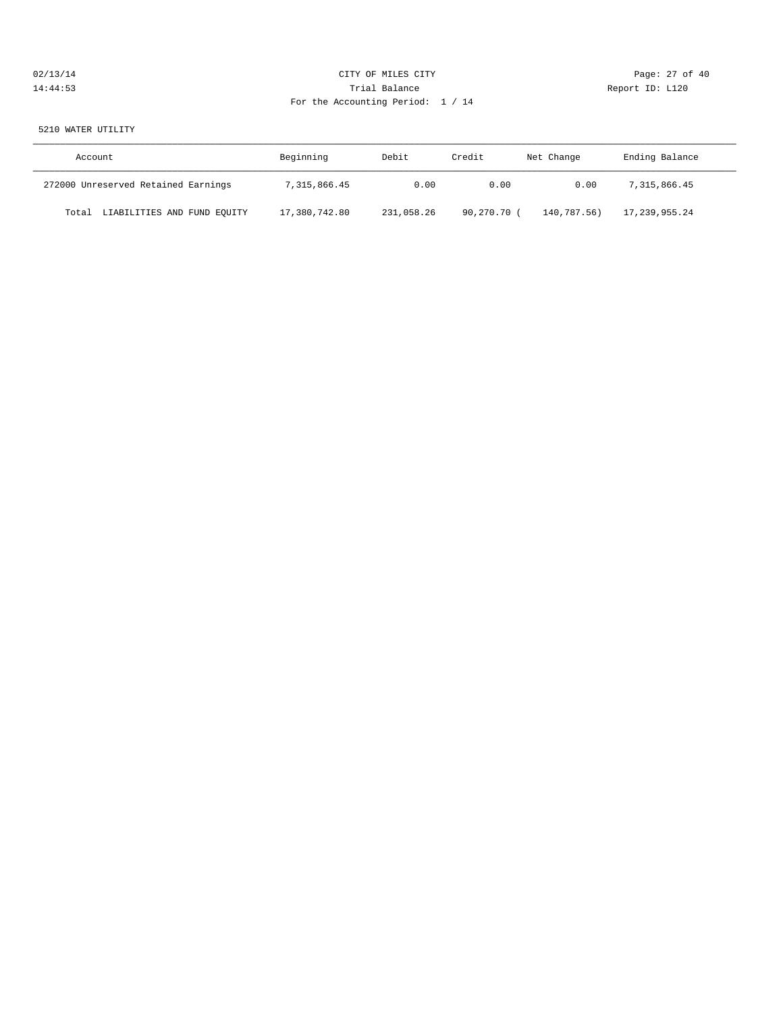# 02/13/14 Page: 27 of 40 14:44:53 Trial Balance Report ID: L120 For the Accounting Period: 1 / 14

#### 5210 WATER UTILITY

| Account                              | Beginning     | Debit      | Credit      | Net Change  | Ending Balance |
|--------------------------------------|---------------|------------|-------------|-------------|----------------|
| 272000 Unreserved Retained Earnings  | 7,315,866.45  | 0.00       | 0.00        | 0.00        | 7,315,866.45   |
| LIABILITIES AND FUND EQUITY<br>Total | 17,380,742.80 | 231,058.26 | 90,270.70 ( | 140,787.56) | 17,239,955.24  |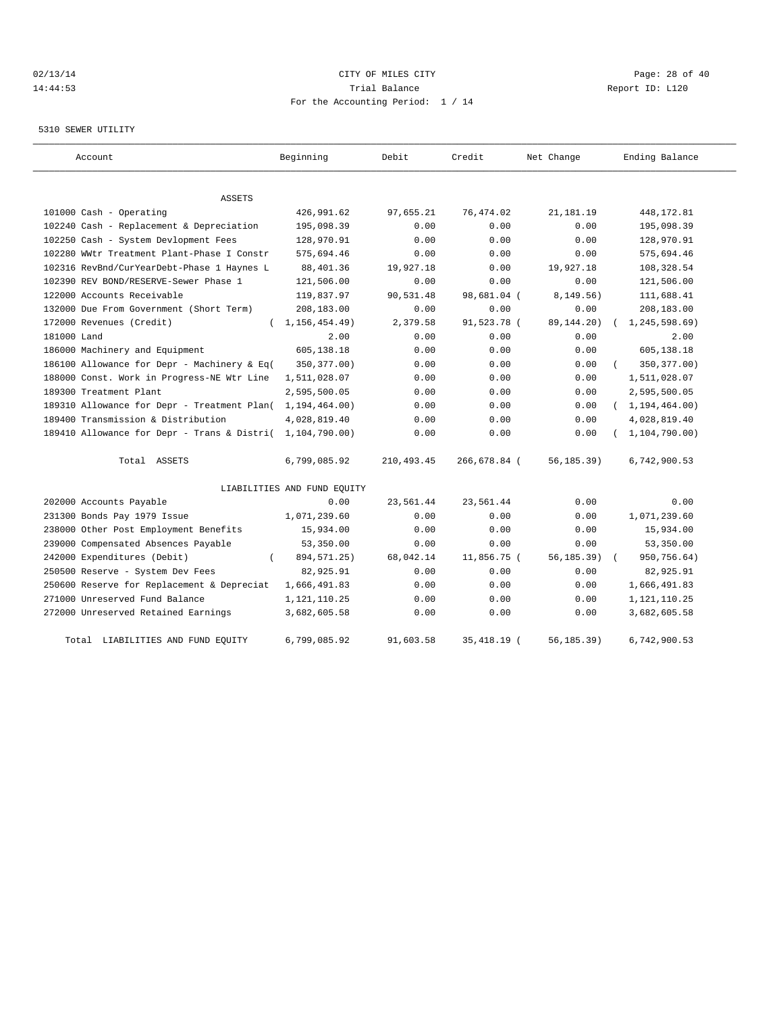# $O(13/14$   $O(13/14)$   $O(13/14)$   $O(13/14)$   $O(13/14)$   $O(13/14)$   $O(13/14)$   $O(13/14)$   $O(13/14)$   $O(13/14)$ 14:44:53 Trial Balance Report ID: L120 For the Accounting Period: 1 / 14

#### 5310 SEWER UTILITY

| Account                                     | Beginning                   | Debit      | Credit       | Net Change   | Ending Balance   |
|---------------------------------------------|-----------------------------|------------|--------------|--------------|------------------|
| <b>ASSETS</b>                               |                             |            |              |              |                  |
| 101000 Cash - Operating                     | 426,991.62                  | 97,655.21  | 76,474.02    | 21, 181. 19  | 448,172.81       |
| 102240 Cash - Replacement & Depreciation    | 195,098.39                  | 0.00       | 0.00         | 0.00         | 195,098.39       |
| 102250 Cash - System Devlopment Fees        | 128,970.91                  | 0.00       | 0.00         | 0.00         | 128,970.91       |
| 102280 WWtr Treatment Plant-Phase I Constr  | 575,694.46                  | 0.00       | 0.00         | 0.00         | 575,694.46       |
| 102316 RevBnd/CurYearDebt-Phase 1 Haynes L  | 88,401.36                   | 19,927.18  | 0.00         | 19,927.18    | 108,328.54       |
| 102390 REV BOND/RESERVE-Sewer Phase 1       | 121,506.00                  | 0.00       | 0.00         | 0.00         | 121,506.00       |
| 122000 Accounts Receivable                  | 119,837.97                  | 90,531.48  | 98,681.04 (  | 8, 149.56)   | 111,688.41       |
| 132000 Due From Government (Short Term)     | 208,183.00                  | 0.00       | 0.00         | 0.00         | 208,183.00       |
| 172000 Revenues (Credit)<br>$\left($        | 1, 156, 454. 49)            | 2,379.58   | 91,523.78 (  | 89, 144. 20) | 1,245,598.69)    |
| 181000 Land                                 | 2.00                        | 0.00       | 0.00         | 0.00         | 2.00             |
| 186000 Machinery and Equipment              | 605,138.18                  | 0.00       | 0.00         | 0.00         | 605,138.18       |
| 186100 Allowance for Depr - Machinery & Eq( | 350, 377.00)                | 0.00       | 0.00         | 0.00         | 350, 377.00)     |
| 188000 Const. Work in Progress-NE Wtr Line  | 1,511,028.07                | 0.00       | 0.00         | 0.00         | 1,511,028.07     |
| 189300 Treatment Plant                      | 2,595,500.05                | 0.00       | 0.00         | 0.00         | 2,595,500.05     |
| 189310 Allowance for Depr - Treatment Plan( | 1, 194, 464.00)             | 0.00       | 0.00         | 0.00         | (1, 194, 464.00) |
| 189400 Transmission & Distribution          | 4,028,819.40                | 0.00       | 0.00         | 0.00         | 4,028,819.40     |
| 189410 Allowance for Depr - Trans & Distri( | 1,104,790.00)               | 0.00       | 0.00         | 0.00         | 1, 104, 790.00   |
| Total ASSETS                                | 6,799,085.92                | 210,493.45 | 266,678.84 ( | 56, 185.39)  | 6,742,900.53     |
|                                             | LIABILITIES AND FUND EQUITY |            |              |              |                  |
| 202000 Accounts Payable                     | 0.00                        | 23,561.44  | 23,561.44    | 0.00         | 0.00             |
| 231300 Bonds Pay 1979 Issue                 | 1,071,239.60                | 0.00       | 0.00         | 0.00         | 1,071,239.60     |
| 238000 Other Post Employment Benefits       | 15,934.00                   | 0.00       | 0.00         | 0.00         | 15,934.00        |
| 239000 Compensated Absences Payable         | 53,350.00                   | 0.00       | 0.00         | 0.00         | 53,350.00        |
| 242000 Expenditures (Debit)                 | 894, 571. 25)               | 68,042.14  | 11,856.75 (  | 56, 185.39)  | 950,756.64)      |
| 250500 Reserve - System Dev Fees            | 82,925.91                   | 0.00       | 0.00         | 0.00         | 82,925.91        |
| 250600 Reserve for Replacement & Depreciat  | 1,666,491.83                | 0.00       | 0.00         | 0.00         | 1,666,491.83     |
| 271000 Unreserved Fund Balance              | 1,121,110.25                | 0.00       | 0.00         | 0.00         | 1, 121, 110. 25  |
| 272000 Unreserved Retained Earnings         | 3,682,605.58                | 0.00       | 0.00         | 0.00         | 3,682,605.58     |
| Total LIABILITIES AND FUND EQUITY           | 6,799,085.92                | 91,603.58  | 35, 418.19 ( | 56,185.39)   | 6,742,900.53     |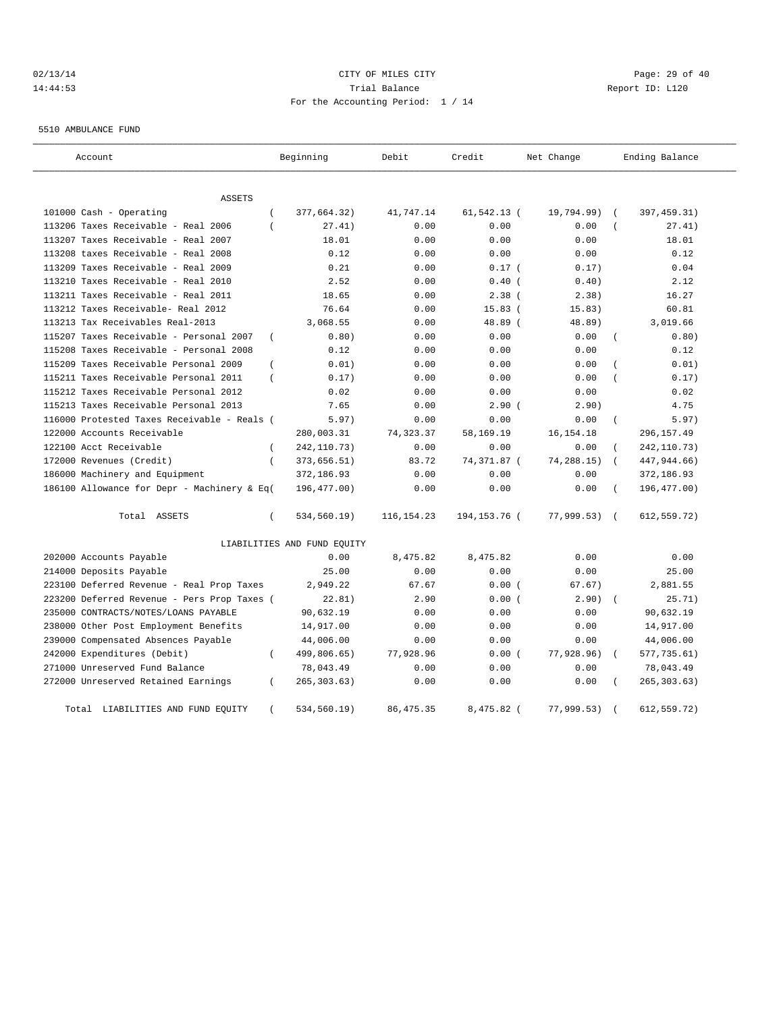# $O(13/14$   $O(13/14)$   $O(13/14)$   $O(13/14)$   $O(13/14)$   $O(13/14)$   $O(13/14)$   $O(13/14)$   $O(13/14)$   $O(13/14)$ 14:44:53 Trial Balance Report ID: L120 For the Accounting Period: 1 / 14

5510 AMBULANCE FUND

| Account                                     |                | Beginning                   | Debit        | Credit         | Net Change  |                | Ending Balance |
|---------------------------------------------|----------------|-----------------------------|--------------|----------------|-------------|----------------|----------------|
| ASSETS                                      |                |                             |              |                |             |                |                |
| 101000 Cash - Operating                     | $\overline{ }$ | 377,664.32)                 | 41,747.14    | 61,542.13 (    | 19,794.99)  |                | 397, 459.31)   |
| 113206 Taxes Receivable - Real 2006         | $\left($       | 27.41)                      | 0.00         | 0.00           | 0.00        |                | 27.41)         |
| 113207 Taxes Receivable - Real 2007         |                | 18.01                       | 0.00         | 0.00           | 0.00        |                | 18.01          |
| 113208 taxes Receivable - Real 2008         |                | 0.12                        | 0.00         | 0.00           | 0.00        |                | 0.12           |
| 113209 Taxes Receivable - Real 2009         |                | 0.21                        | 0.00         | 0.17(          | 0.17)       |                | 0.04           |
| 113210 Taxes Receivable - Real 2010         |                | 2.52                        | 0.00         | $0.40$ (       | 0.40)       |                | 2.12           |
| 113211 Taxes Receivable - Real 2011         |                | 18.65                       | 0.00         | $2.38$ (       | 2.38)       |                | 16.27          |
| 113212 Taxes Receivable- Real 2012          |                | 76.64                       | 0.00         | 15.83(         | 15.83)      |                | 60.81          |
| 113213 Tax Receivables Real-2013            |                | 3,068.55                    | 0.00         | 48.89 (        | 48.89)      |                | 3,019.66       |
| 115207 Taxes Receivable - Personal 2007     | $\overline{ }$ | 0.80)                       | 0.00         | 0.00           | 0.00        |                | 0.80)          |
| 115208 Taxes Receivable - Personal 2008     |                | 0.12                        | 0.00         | 0.00           | 0.00        |                | 0.12           |
| 115209 Taxes Receivable Personal 2009       | $\left($       | 0.01)                       | 0.00         | 0.00           | 0.00        |                | 0.01)          |
| 115211 Taxes Receivable Personal 2011       | $\left($       | 0.17)                       | 0.00         | 0.00           | 0.00        |                | 0.17)          |
| 115212 Taxes Receivable Personal 2012       |                | 0.02                        | 0.00         | 0.00           | 0.00        |                | 0.02           |
| 115213 Taxes Receivable Personal 2013       |                | 7.65                        | 0.00         | 2.90(          | 2.90)       |                | 4.75           |
| 116000 Protested Taxes Receivable - Reals ( |                | 5.97)                       | 0.00         | 0.00           | 0.00        | $\overline{(}$ | 5.97)          |
| 122000 Accounts Receivable                  |                | 280,003.31                  | 74,323.37    | 58,169.19      | 16, 154. 18 |                | 296,157.49     |
| 122100 Acct Receivable                      | $\left($       | 242, 110.73)                | 0.00         | 0.00           | 0.00        |                | 242,110.73)    |
| 172000 Revenues (Credit)                    | $\overline{ }$ | 373,656.51)                 | 83.72        | 74,371.87 (    | 74,288.15)  |                | 447,944.66)    |
| 186000 Machinery and Equipment              |                | 372,186.93                  | 0.00         | 0.00           | 0.00        |                | 372,186.93     |
| 186100 Allowance for Depr - Machinery & Eq( |                | 196,477.00)                 | 0.00         | 0.00           | 0.00        |                | 196,477.00)    |
| Total ASSETS                                | $\left($       | 534,560.19)                 | 116, 154. 23 | 194, 153. 76 ( | 77,999.53)  | $\sqrt{ }$     | 612,559.72)    |
|                                             |                | LIABILITIES AND FUND EQUITY |              |                |             |                |                |
| 202000 Accounts Payable                     |                | 0.00                        | 8,475.82     | 8,475.82       | 0.00        |                | 0.00           |
| 214000 Deposits Payable                     |                | 25.00                       | 0.00         | 0.00           | 0.00        |                | 25.00          |
| 223100 Deferred Revenue - Real Prop Taxes   |                | 2,949.22                    | 67.67        | 0.00(          | 67.67)      |                | 2,881.55       |
| 223200 Deferred Revenue - Pers Prop Taxes ( |                | 22.81)                      | 2.90         | 0.00(          | 2.90)       |                | 25.71)         |
| 235000 CONTRACTS/NOTES/LOANS PAYABLE        |                | 90,632.19                   | 0.00         | 0.00           | 0.00        |                | 90,632.19      |
| 238000 Other Post Employment Benefits       |                | 14,917.00                   | 0.00         | 0.00           | 0.00        |                | 14,917.00      |
| 239000 Compensated Absences Payable         |                | 44,006.00                   | 0.00         | 0.00           | 0.00        |                | 44,006.00      |
| 242000 Expenditures (Debit)                 | $\overline{ }$ | 499,806.65)                 | 77,928.96    | 0.00(          | 77,928.96)  |                | 577,735.61)    |
| 271000 Unreserved Fund Balance              |                | 78,043.49                   | 0.00         | 0.00           | 0.00        |                | 78,043.49      |
| 272000 Unreserved Retained Earnings         | $\left($       | 265, 303.63)                | 0.00         | 0.00           | 0.00        |                | 265, 303.63)   |
| Total LIABILITIES AND FUND EQUITY           | $\left($       | 534,560.19)                 | 86, 475.35   | 8,475.82 (     | 77,999.53)  |                | 612,559.72)    |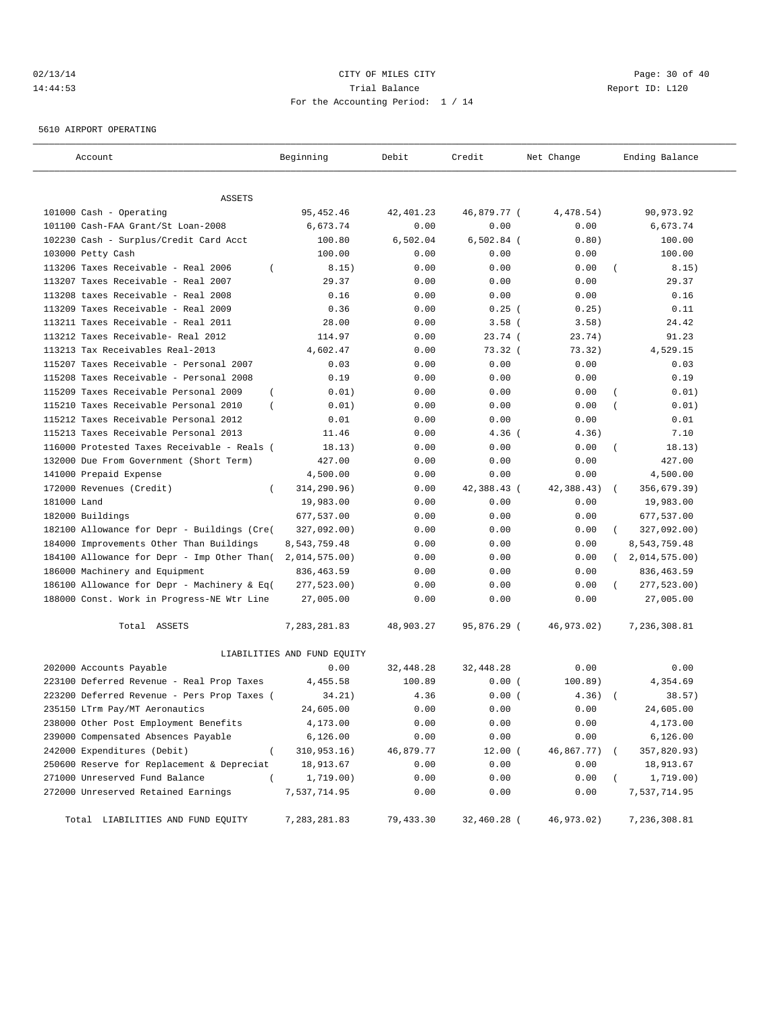# $O(13/14$   $O(13/14)$   $O(13/14)$   $O(13/14)$   $O(13/14)$   $O(13/14)$   $O(13/14)$   $O(13/14)$   $O(13/14)$ 14:44:53 Trial Balance Report ID: L120 For the Accounting Period: 1 / 14

5610 AIRPORT OPERATING

| Account                                                       | Beginning                   | Debit             | Credit              | Net Change        | Ending Balance             |
|---------------------------------------------------------------|-----------------------------|-------------------|---------------------|-------------------|----------------------------|
|                                                               |                             |                   |                     |                   |                            |
| ASSETS                                                        |                             |                   |                     |                   |                            |
| 101000 Cash - Operating<br>101100 Cash-FAA Grant/St Loan-2008 | 95, 452.46<br>6,673.74      | 42,401.23<br>0.00 | 46,879.77 (<br>0.00 | 4,478.54)<br>0.00 | 90,973.92<br>6,673.74      |
| 102230 Cash - Surplus/Credit Card Acct                        | 100.80                      | 6,502.04          | $6,502.84$ (        | 0.80)             | 100.00                     |
| 103000 Petty Cash                                             | 100.00                      | 0.00              | 0.00                | 0.00              | 100.00                     |
| 113206 Taxes Receivable - Real 2006<br>$\left($               | 8.15)                       | 0.00              | 0.00                | 0.00              | 8.15)                      |
| 113207 Taxes Receivable - Real 2007                           | 29.37                       | 0.00              | 0.00                | 0.00              | 29.37                      |
| 113208 taxes Receivable - Real 2008                           | 0.16                        | 0.00              | 0.00                | 0.00              | 0.16                       |
| 113209 Taxes Receivable - Real 2009                           | 0.36                        | 0.00              | $0.25$ (            | 0.25)             | 0.11                       |
| 113211 Taxes Receivable - Real 2011                           | 28.00                       | 0.00              | $3.58$ (            | 3.58)             | 24.42                      |
| 113212 Taxes Receivable- Real 2012                            | 114.97                      | 0.00              | 23.74(              | 23.74)            | 91.23                      |
| 113213 Tax Receivables Real-2013                              | 4,602.47                    | 0.00              | 73.32(              | 73.32)            | 4,529.15                   |
| 115207 Taxes Receivable - Personal 2007                       | 0.03                        | 0.00              | 0.00                | 0.00              | 0.03                       |
| 115208 Taxes Receivable - Personal 2008                       | 0.19                        | 0.00              | 0.00                | 0.00              | 0.19                       |
| $\overline{ }$<br>115209 Taxes Receivable Personal 2009       | 0.01)                       | 0.00              | 0.00                | 0.00              | 0.01)                      |
| 115210 Taxes Receivable Personal 2010<br>$\overline{ }$       | 0.01)                       | 0.00              | 0.00                | 0.00              | 0.01)                      |
| 115212 Taxes Receivable Personal 2012                         | 0.01                        | 0.00              | 0.00                | 0.00              | 0.01                       |
| 115213 Taxes Receivable Personal 2013                         | 11.46                       | 0.00              | $4.36$ (            | 4.36)             | 7.10                       |
| 116000 Protested Taxes Receivable - Reals (                   | 18.13)                      | 0.00              | 0.00                | 0.00              | 18.13)<br>$\overline{ }$   |
| 132000 Due From Government (Short Term)                       | 427.00                      | 0.00              | 0.00                | 0.00              | 427.00                     |
| 141000 Prepaid Expense                                        | 4,500.00                    | 0.00              | 0.00                | 0.00              | 4,500.00                   |
| 172000 Revenues (Credit)<br>$\left($                          | 314,290.96)                 | 0.00              | 42,388.43 (         | 42,388.43)        | 356,679.39)                |
| 181000 Land                                                   | 19,983.00                   | 0.00              | 0.00                | 0.00              | 19,983.00                  |
| 182000 Buildings                                              | 677,537.00                  | 0.00              | 0.00                | 0.00              | 677,537.00                 |
| 182100 Allowance for Depr - Buildings (Cre(                   | 327,092.00)                 | 0.00              | 0.00                | 0.00              | 327,092.00)                |
| 184000 Improvements Other Than Buildings                      | 8,543,759.48                | 0.00              | 0.00                | 0.00              | 8,543,759.48               |
| 184100 Allowance for Depr - Imp Other Than(                   | 2,014,575.00)               | 0.00              | 0.00                | 0.00              | 2,014,575.00<br>$\sqrt{2}$ |
| 186000 Machinery and Equipment                                | 836,463.59                  | 0.00              | 0.00                | 0.00              | 836,463.59                 |
| 186100 Allowance for Depr - Machinery & Eq(                   | 277,523.00)                 | 0.00              | 0.00                | 0.00              | 277,523.00)                |
| 188000 Const. Work in Progress-NE Wtr Line                    | 27,005.00                   | 0.00              | 0.00                | 0.00              | 27,005.00                  |
| Total ASSETS                                                  | 7,283,281.83                | 48,903.27         | 95,876.29 (         | 46,973.02)        | 7,236,308.81               |
|                                                               | LIABILITIES AND FUND EQUITY |                   |                     |                   |                            |
| 202000 Accounts Payable                                       | 0.00                        | 32,448.28         | 32,448.28           | 0.00              | 0.00                       |
| 223100 Deferred Revenue - Real Prop Taxes                     | 4,455.58                    | 100.89            | 0.00(               | 100.89)           | 4,354.69                   |
| 223200 Deferred Revenue - Pers Prop Taxes (                   | 34.21)                      | 4.36              | 0.00(               | 4.36)             | 38.57)                     |
| 235150 LTrm Pay/MT Aeronautics                                | 24,605.00                   | 0.00              | 0.00                | 0.00              | 24,605.00                  |
| 238000 Other Post Employment Benefits                         | 4,173.00                    | 0.00              | 0.00                | 0.00              | 4,173.00                   |
| 239000 Compensated Absences Payable                           | 6,126.00                    | 0.00              | 0.00                | 0.00              | 6, 126.00                  |
| 242000 Expenditures (Debit)<br>$\overline{(\ }$               | 310,953.16)                 | 46,879.77         | $12.00$ (           | 46,867.77)        | 357,820.93)                |
| 250600 Reserve for Replacement & Depreciat                    | 18,913.67                   | 0.00              | 0.00                | 0.00              | 18,913.67                  |
| 271000 Unreserved Fund Balance<br>$\left($                    | 1,719.00)                   | 0.00              | 0.00                | 0.00              | 1,719.00)                  |
| 272000 Unreserved Retained Earnings                           | 7,537,714.95                | 0.00              | 0.00                | 0.00              | 7,537,714.95               |
| Total LIABILITIES AND FUND EQUITY                             | 7,283,281.83                | 79,433.30         | 32,460.28 (         | 46,973.02)        | 7,236,308.81               |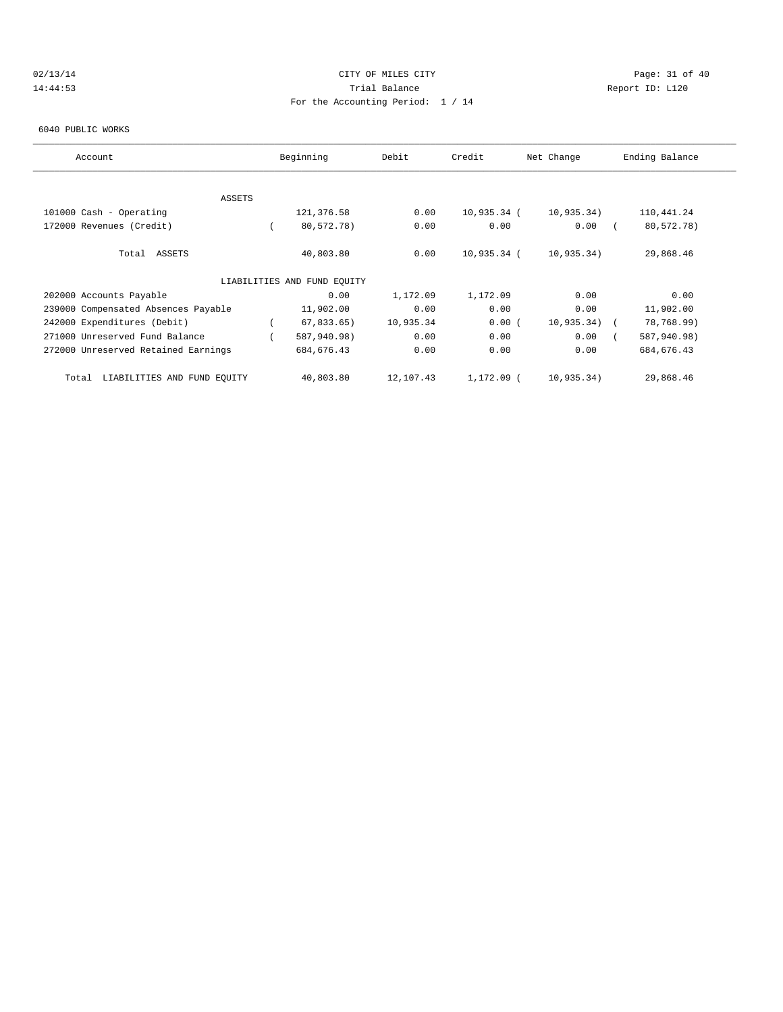# $O(13/14$   $O(13/14)$   $O(13/14)$   $O(13/14)$   $O(13/14)$   $O(13/14)$   $O(13/14)$   $O(13/14)$ 14:44:53 Trial Balance Report ID: L120 For the Accounting Period: 1 / 14

#### 6040 PUBLIC WORKS

| Account                              | Beginning                   | Debit     | Credit      | Net Change    | Ending Balance |  |
|--------------------------------------|-----------------------------|-----------|-------------|---------------|----------------|--|
|                                      |                             |           |             |               |                |  |
| ASSETS                               |                             |           |             |               |                |  |
| 101000 Cash - Operating              | 121,376.58                  | 0.00      | 10,935.34 ( | 10,935.34)    | 110,441.24     |  |
| 172000 Revenues (Credit)             | 80,572.78)                  | 0.00      | 0.00        | 0.00          | 80,572.78)     |  |
| Total ASSETS                         | 40,803.80                   | 0.00      | 10,935.34 ( | 10,935.34)    | 29,868.46      |  |
|                                      | LIABILITIES AND FUND EQUITY |           |             |               |                |  |
| 202000 Accounts Payable              | 0.00                        | 1,172.09  | 1,172.09    | 0.00          | 0.00           |  |
| 239000 Compensated Absences Payable  | 11,902.00                   | 0.00      | 0.00        | 0.00          | 11,902.00      |  |
| 242000 Expenditures (Debit)          | $67,833.65$ )               | 10,935.34 | 0.00(       | $10,935.34$ ( | 78,768.99)     |  |
| 271000 Unreserved Fund Balance       | 587,940.98)                 | 0.00      | 0.00        | 0.00          | 587,940.98)    |  |
| 272000 Unreserved Retained Earnings  | 684, 676.43                 | 0.00      | 0.00        | 0.00          | 684, 676.43    |  |
| LIABILITIES AND FUND EQUITY<br>Total | 40,803.80                   | 12,107.43 | 1,172.09 (  | 10,935.34)    | 29,868.46      |  |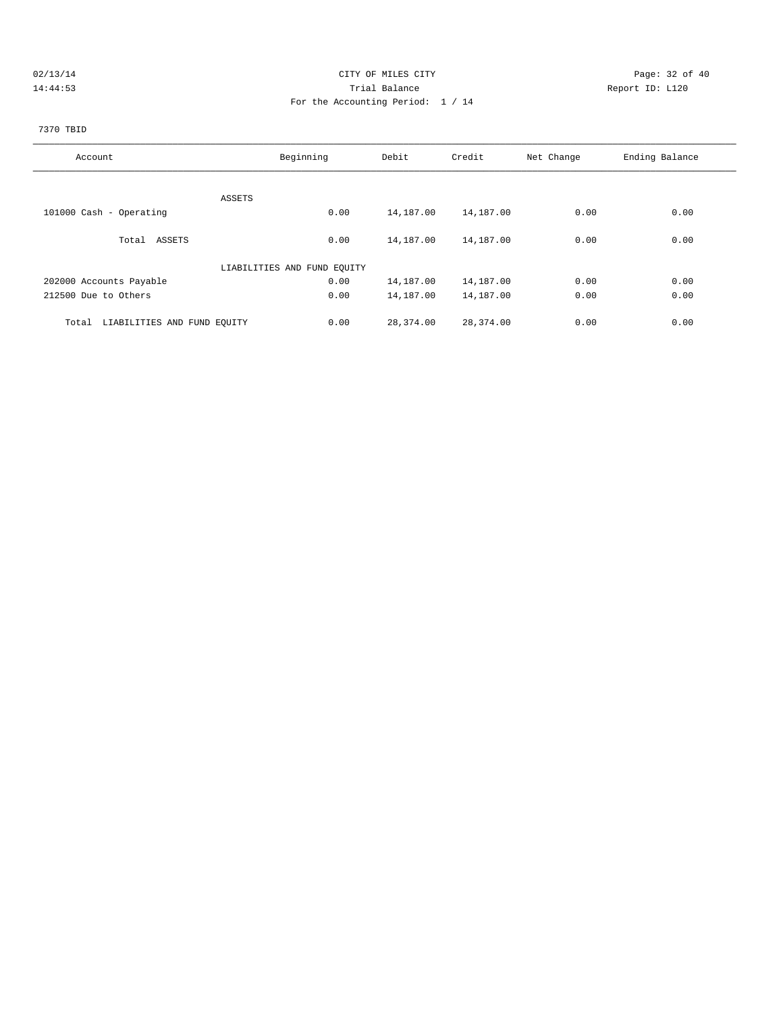# 02/13/14 Page: 32 of 40 14:44:53 Trial Balance Report ID: L120 For the Accounting Period: 1 / 14

# 7370 TBID

| Account                              | Beginning                   | Debit     | Credit    | Net Change | Ending Balance |
|--------------------------------------|-----------------------------|-----------|-----------|------------|----------------|
|                                      |                             |           |           |            |                |
|                                      | ASSETS                      |           |           |            |                |
| 101000 Cash - Operating              | 0.00                        | 14,187.00 | 14,187.00 | 0.00       | 0.00           |
| Total ASSETS                         | 0.00                        | 14,187.00 | 14,187.00 | 0.00       | 0.00           |
|                                      | LIABILITIES AND FUND EQUITY |           |           |            |                |
| 202000 Accounts Payable              | 0.00                        | 14,187.00 | 14,187.00 | 0.00       | 0.00           |
| 212500 Due to Others                 | 0.00                        | 14,187.00 | 14,187.00 | 0.00       | 0.00           |
| LIABILITIES AND FUND EQUITY<br>Total | 0.00                        | 28,374.00 | 28,374.00 | 0.00       | 0.00           |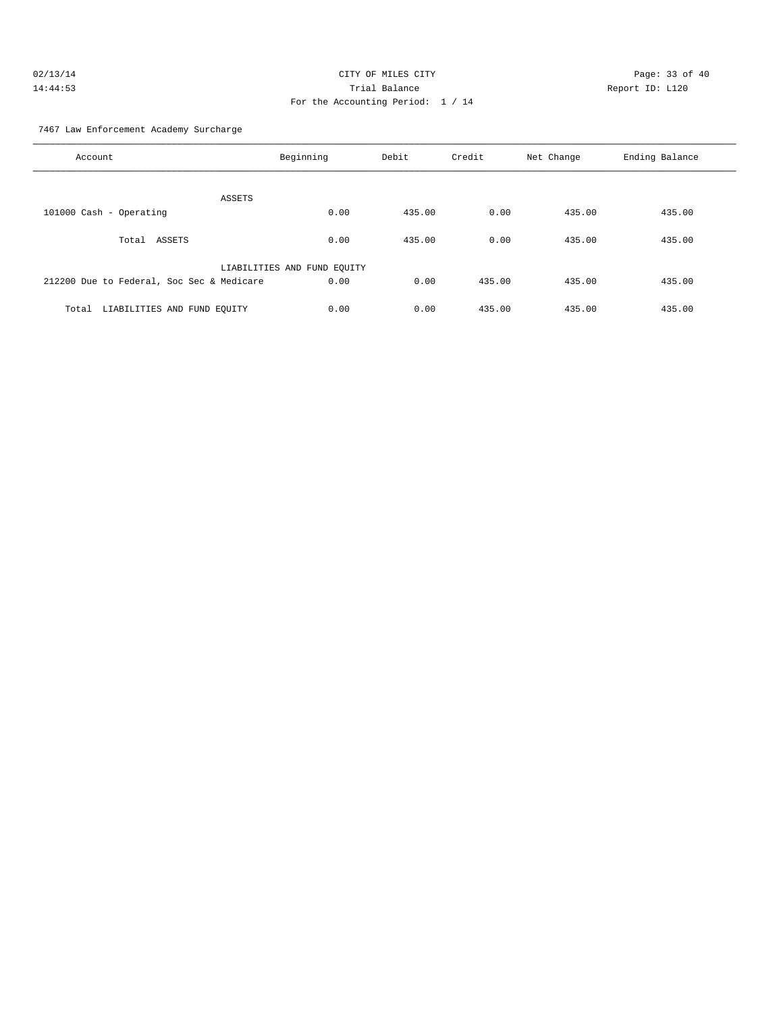| 02/13/14 | CITY OF MILES CITY                | Page: 33 of 40  |
|----------|-----------------------------------|-----------------|
| 14:44:53 | Trial Balance                     | Report ID: L120 |
|          | For the Accounting Period: 1 / 14 |                 |

7467 Law Enforcement Academy Surcharge

| Account                                   | Beginning                   | Debit  | Credit | Net Change | Ending Balance |
|-------------------------------------------|-----------------------------|--------|--------|------------|----------------|
| ASSETS                                    |                             |        |        |            |                |
| 101000 Cash - Operating                   | 0.00                        | 435.00 | 0.00   | 435.00     | 435.00         |
| Total<br>ASSETS                           | 0.00                        | 435.00 | 0.00   | 435.00     | 435.00         |
|                                           | LIABILITIES AND FUND EQUITY |        |        |            |                |
| 212200 Due to Federal, Soc Sec & Medicare | 0.00                        | 0.00   | 435.00 | 435.00     | 435.00         |
| LIABILITIES AND FUND EQUITY<br>Total      | 0.00                        | 0.00   | 435.00 | 435.00     | 435.00         |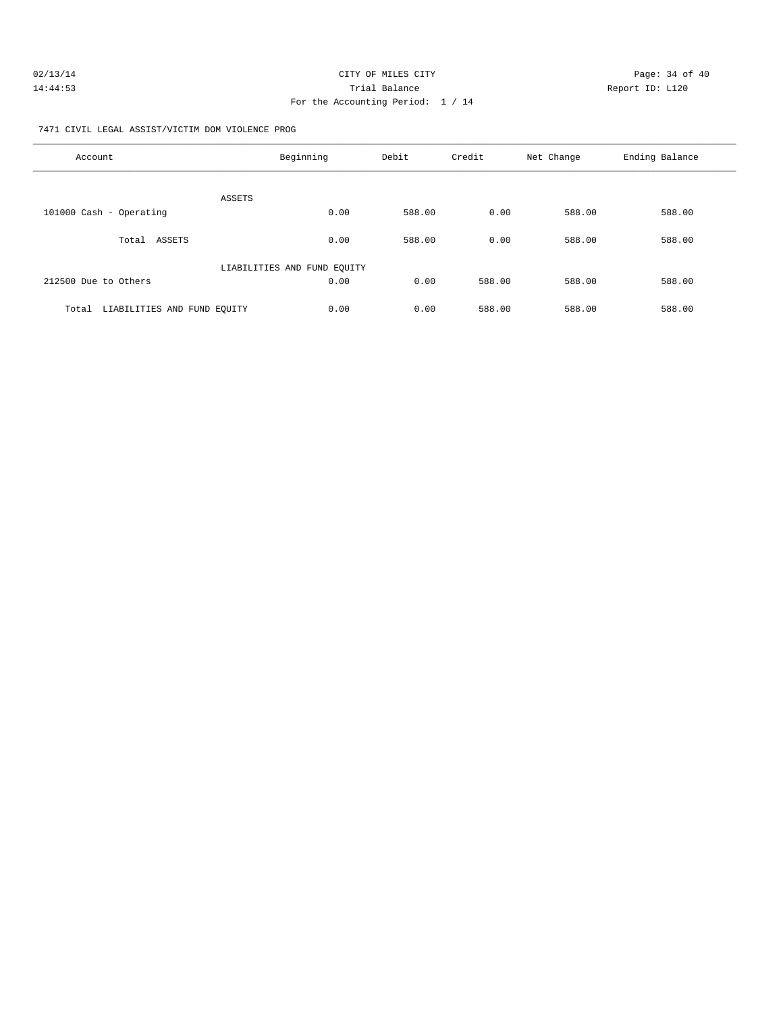| 02/13/14 | CITY OF MILES CITY                | Page: 34 of 40  |
|----------|-----------------------------------|-----------------|
| 14:44:53 | Trial Balance                     | Report ID: L120 |
|          | For the Accounting Period: 1 / 14 |                 |

7471 CIVIL LEGAL ASSIST/VICTIM DOM VIOLENCE PROG

| Account                              | Beginning                   | Debit  | Credit | Net Change | Ending Balance |
|--------------------------------------|-----------------------------|--------|--------|------------|----------------|
| ASSETS                               |                             |        |        |            |                |
| 101000 Cash - Operating              | 0.00                        | 588.00 | 0.00   | 588.00     | 588.00         |
| ASSETS<br>Total                      | 0.00                        | 588.00 | 0.00   | 588.00     | 588.00         |
|                                      | LIABILITIES AND FUND EQUITY |        |        |            |                |
| 212500 Due to Others                 | 0.00                        | 0.00   | 588.00 | 588.00     | 588.00         |
| LIABILITIES AND FUND EQUITY<br>Total | 0.00                        | 0.00   | 588.00 | 588.00     | 588.00         |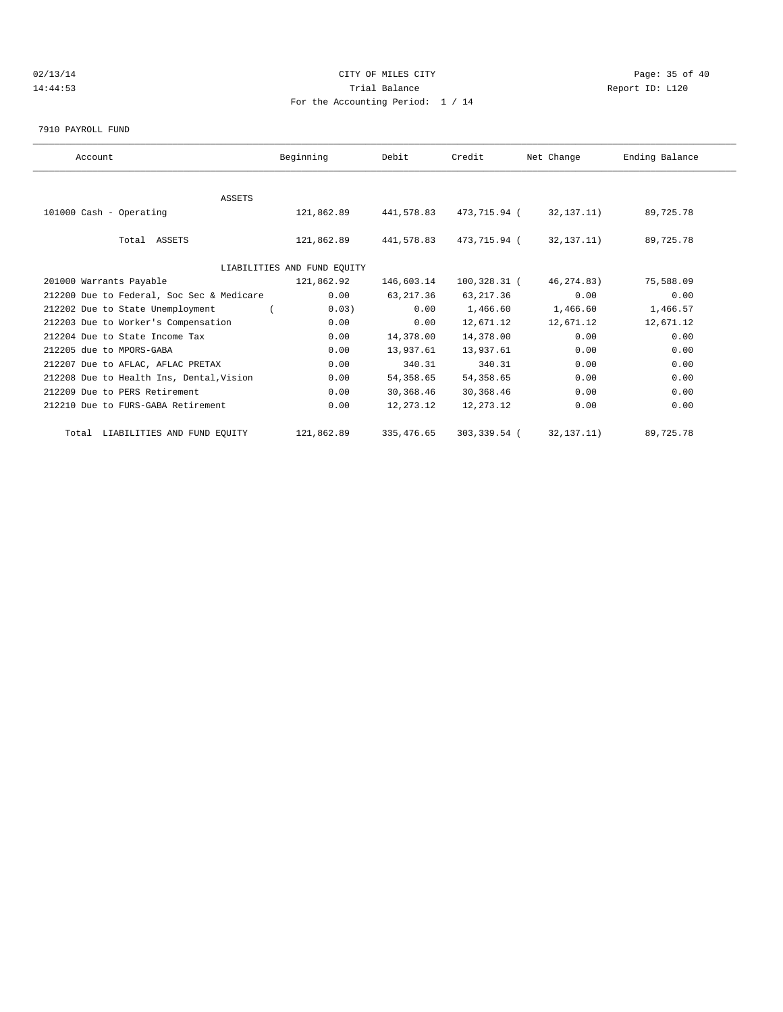# $O(13/14$   $O(13/14)$   $O(13/14)$   $O(13/14)$   $O(13/14)$   $O(13/14)$   $O(13/14)$   $O(13/14)$   $O(13/14)$   $O(13/14)$ 14:44:53 Trial Balance Report ID: L120 For the Accounting Period: 1 / 14

7910 PAYROLL FUND

| Account                                   | Beginning                   | Debit       | Credit       | Net Change   | Ending Balance |  |
|-------------------------------------------|-----------------------------|-------------|--------------|--------------|----------------|--|
|                                           |                             |             |              |              |                |  |
| <b>ASSETS</b>                             |                             |             |              |              |                |  |
| 101000 Cash - Operating                   | 121,862.89                  | 441,578.83  | 473,715.94 ( | 32,137.11)   | 89,725.78      |  |
|                                           |                             |             |              |              |                |  |
| Total ASSETS                              | 121,862.89                  | 441,578.83  | 473,715.94 ( | 32,137.11)   | 89,725.78      |  |
|                                           |                             |             |              |              |                |  |
|                                           | LIABILITIES AND FUND EQUITY |             |              |              |                |  |
| 201000 Warrants Payable                   | 121,862.92                  | 146,603.14  | 100,328.31 ( | 46, 274, 83) | 75,588.09      |  |
| 212200 Due to Federal, Soc Sec & Medicare | 0.00                        | 63, 217.36  | 63, 217.36   | 0.00         | 0.00           |  |
| 212202 Due to State Unemployment          | 0.03)                       | 0.00        | 1,466.60     | 1,466.60     | 1,466.57       |  |
| 212203 Due to Worker's Compensation       | 0.00                        | 0.00        | 12,671.12    | 12,671.12    | 12,671.12      |  |
| 212204 Due to State Income Tax            | 0.00                        | 14,378.00   | 14,378.00    | 0.00         | 0.00           |  |
| 212205 due to MPORS-GABA                  | 0.00                        | 13,937.61   | 13,937.61    | 0.00         | 0.00           |  |
| 212207 Due to AFLAC, AFLAC PRETAX         | 0.00                        | 340.31      | 340.31       | 0.00         | 0.00           |  |
| 212208 Due to Health Ins, Dental, Vision  | 0.00                        | 54,358.65   | 54, 358.65   | 0.00         | 0.00           |  |
| 212209 Due to PERS Retirement             | 0.00                        | 30,368.46   | 30,368.46    | 0.00         | 0.00           |  |
| 212210 Due to FURS-GABA Retirement        | 0.00                        | 12,273.12   | 12, 273. 12  | 0.00         | 0.00           |  |
| Total LIABILITIES AND FUND EQUITY         | 121,862.89                  | 335, 476.65 | 303,339.54 ( | 32, 137. 11) | 89,725.78      |  |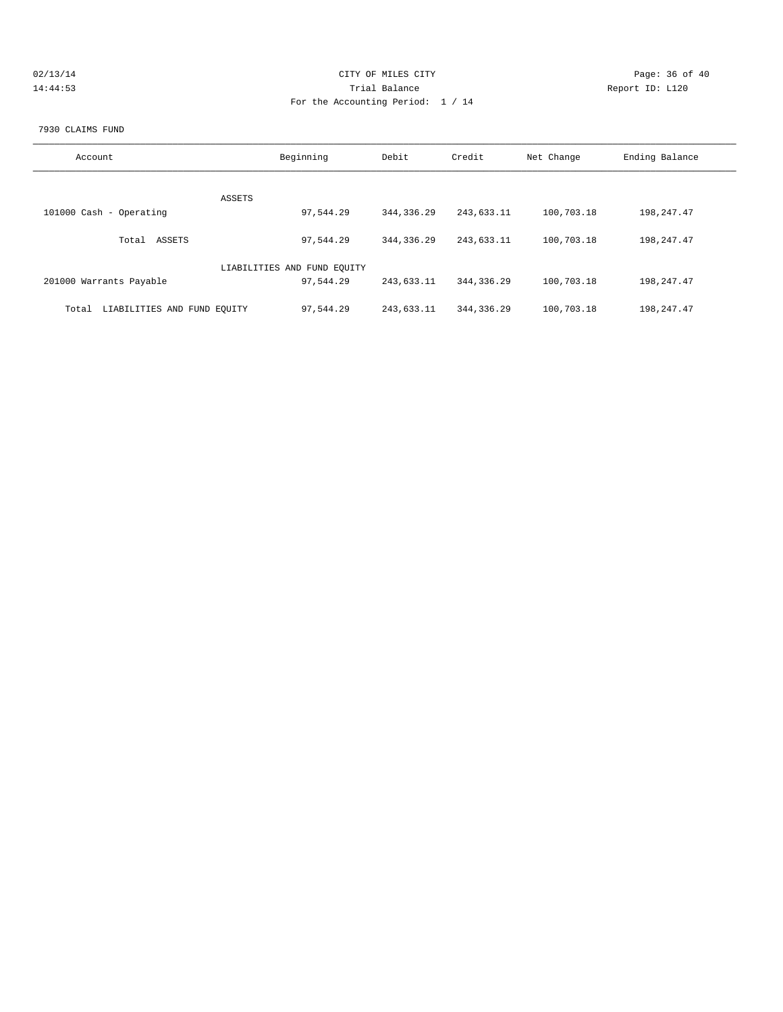| 02/13/14 | CITY OF MILES CITY                | Page: 36 of 40  |
|----------|-----------------------------------|-----------------|
| 14:44:53 | Trial Balance                     | Report ID: L120 |
|          | For the Accounting Period: 1 / 14 |                 |
|          |                                   |                 |

#### 7930 CLAIMS FUND

| Account                              | Beginning                   | Debit        | Credit       | Net Change | Ending Balance |
|--------------------------------------|-----------------------------|--------------|--------------|------------|----------------|
|                                      |                             |              |              |            |                |
| ASSETS<br>101000 Cash - Operating    | 97,544.29                   | 344, 336.29  | 243,633.11   | 100,703.18 | 198, 247.47    |
|                                      |                             |              |              |            |                |
| ASSETS<br>Total                      | 97.544.29                   | 344, 336, 29 | 243,633.11   | 100,703.18 | 198, 247.47    |
|                                      | LIABILITIES AND FUND EQUITY |              |              |            |                |
| 201000 Warrants Payable              | 97.544.29                   | 243,633.11   | 344, 336, 29 | 100,703.18 | 198, 247.47    |
| LIABILITIES AND FUND EQUITY<br>Total | 97,544.29                   | 243,633.11   | 344, 336, 29 | 100,703.18 | 198, 247.47    |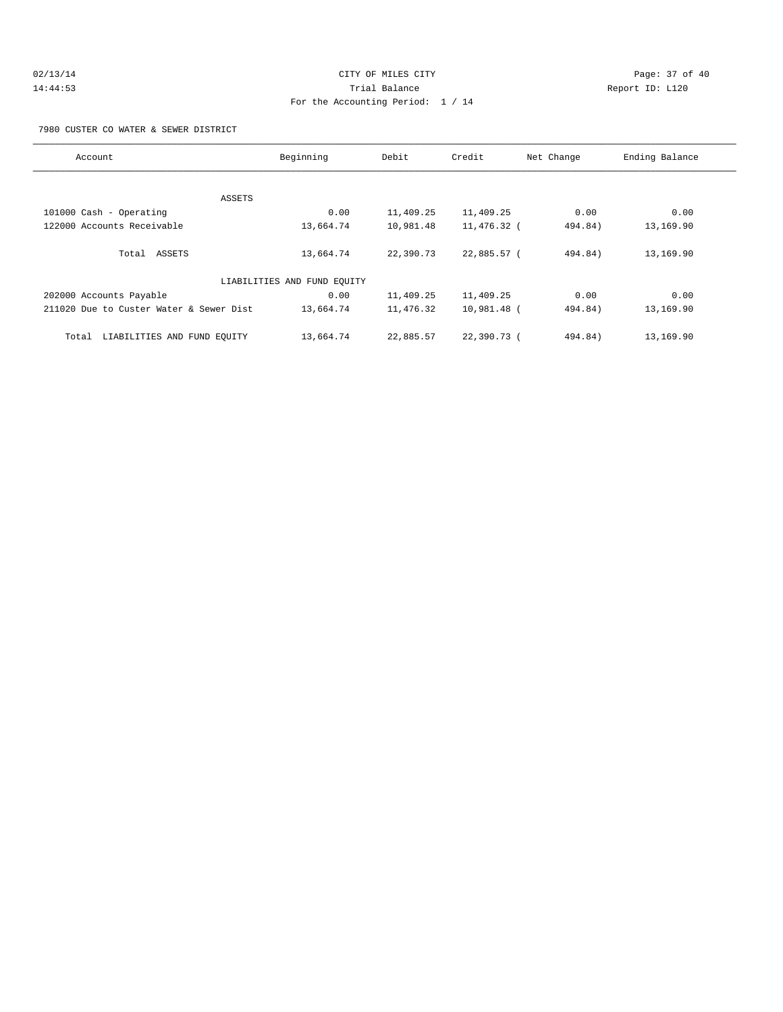# 02/13/14 Page: 37 of 40 14:44:53 Trial Balance Report ID: L120 For the Accounting Period: 1 / 14

7980 CUSTER CO WATER & SEWER DISTRICT

| Account                                 | Beginning                   | Debit     | Credit      | Net Change | Ending Balance |
|-----------------------------------------|-----------------------------|-----------|-------------|------------|----------------|
|                                         |                             |           |             |            |                |
|                                         | ASSETS                      |           |             |            |                |
| 101000 Cash - Operating                 | 0.00                        | 11,409.25 | 11,409.25   | 0.00       | 0.00           |
| 122000 Accounts Receivable              | 13,664.74                   | 10,981.48 | 11,476.32 ( | 494.84)    | 13,169.90      |
|                                         |                             |           |             |            |                |
| Total ASSETS                            | 13,664.74                   | 22,390.73 | 22,885.57 ( | 494.84)    | 13,169.90      |
|                                         | LIABILITIES AND FUND EQUITY |           |             |            |                |
|                                         |                             |           |             |            |                |
| 202000 Accounts Payable                 | 0.00                        | 11,409.25 | 11,409.25   | 0.00       | 0.00           |
| 211020 Due to Custer Water & Sewer Dist | 13,664.74                   | 11,476.32 | 10,981.48 ( | 494.84)    | 13,169.90      |
|                                         |                             |           |             |            |                |
| LIABILITIES AND FUND EOUITY<br>Total    | 13,664.74                   | 22,885.57 | 22,390.73 ( | 494.84)    | 13,169.90      |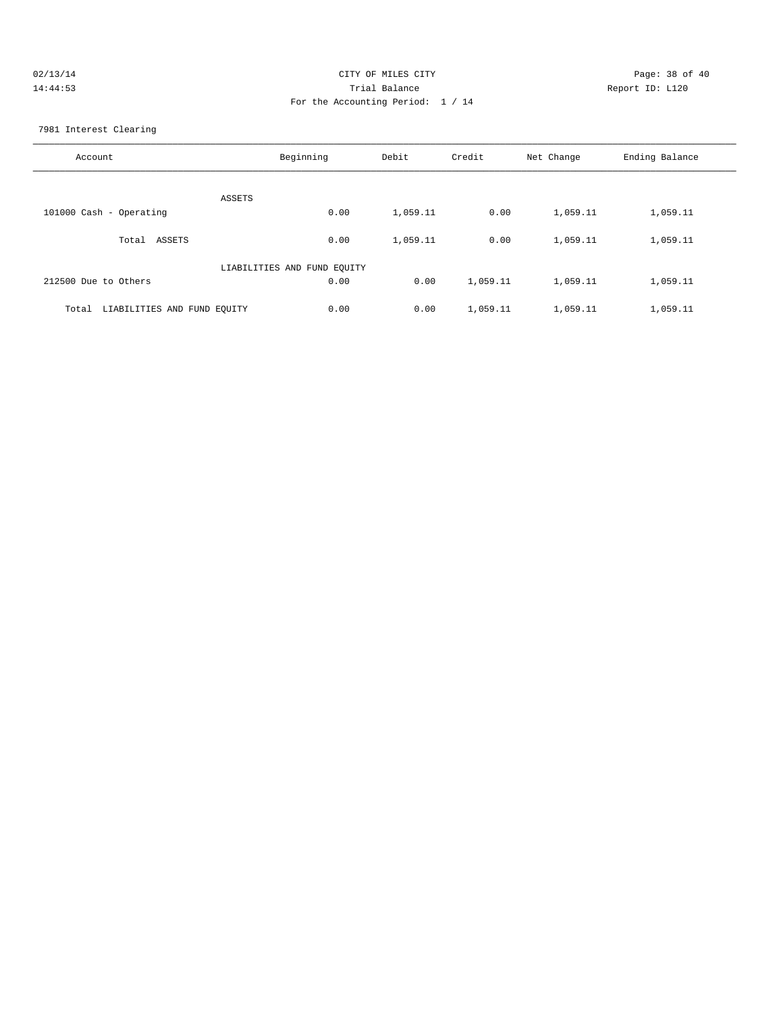| 02/13/14 | CITY OF MILES CITY                | Page: 38 of 40  |
|----------|-----------------------------------|-----------------|
| 14:44:53 | Trial Balance                     | Report ID: L120 |
|          | For the Accounting Period: 1 / 14 |                 |

7981 Interest Clearing

| Account                              | Beginning                   | Debit    | Credit   | Net Change | Ending Balance |
|--------------------------------------|-----------------------------|----------|----------|------------|----------------|
| ASSETS                               |                             |          |          |            |                |
| 101000 Cash - Operating              | 0.00                        | 1,059.11 | 0.00     | 1,059.11   | 1,059.11       |
| ASSETS<br>Total                      | 0.00                        | 1,059.11 | 0.00     | 1,059.11   | 1,059.11       |
|                                      | LIABILITIES AND FUND EQUITY |          |          |            |                |
| 212500 Due to Others                 | 0.00                        | 0.00     | 1,059.11 | 1,059.11   | 1,059.11       |
| LIABILITIES AND FUND EOUITY<br>Total | 0.00                        | 0.00     | 1,059.11 | 1,059.11   | 1,059.11       |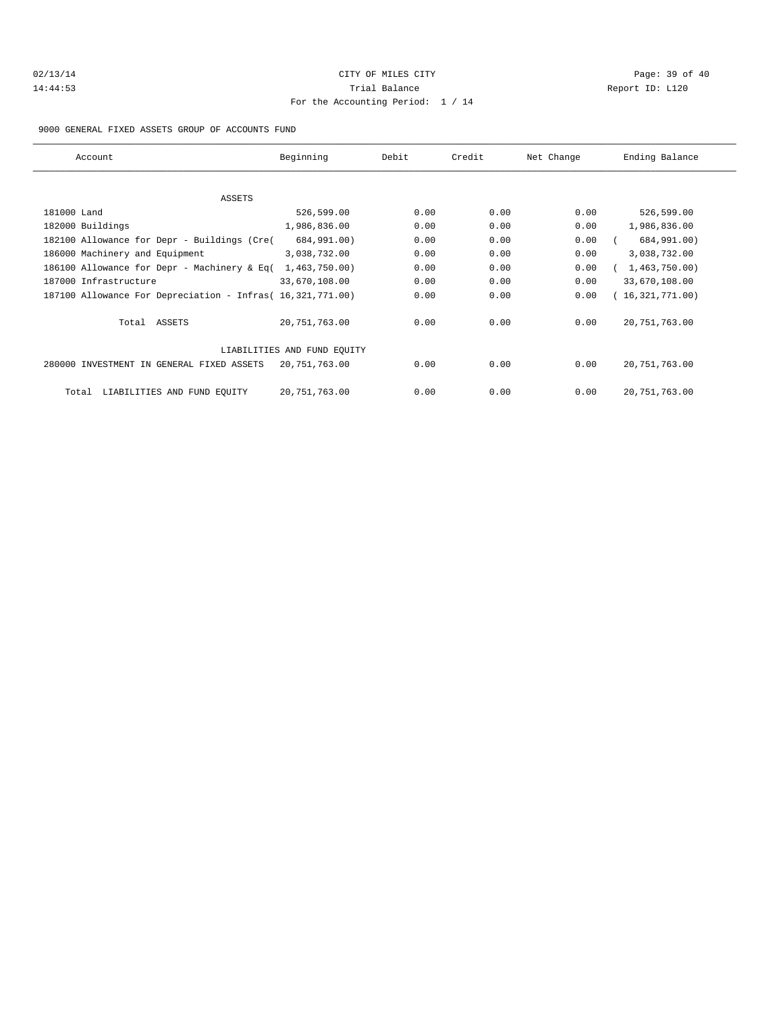# $O(13/14$   $O(13/14)$   $O(13/14)$   $O(13/14)$   $O(13/14)$   $O(13/14)$   $O(13/14)$   $O(13/14)$   $O(13/14)$   $O(13/14)$   $O(13/14)$ 14:44:53 Trial Balance Report ID: L120 For the Accounting Period: 1 / 14

9000 GENERAL FIXED ASSETS GROUP OF ACCOUNTS FUND

| Account                                                    | Beginning                   | Debit | Credit | Net Change | Ending Balance    |
|------------------------------------------------------------|-----------------------------|-------|--------|------------|-------------------|
|                                                            |                             |       |        |            |                   |
| ASSETS                                                     |                             |       |        |            |                   |
| 181000 Land                                                | 526,599.00                  | 0.00  | 0.00   | 0.00       | 526,599.00        |
| 182000 Buildings                                           | 1,986,836.00                | 0.00  | 0.00   | 0.00       | 1,986,836.00      |
| 182100 Allowance for Depr - Buildings (Cre(                | 684,991.00)                 | 0.00  | 0.00   | 0.00       | 684,991.00)       |
| 186000 Machinery and Equipment                             | 3,038,732.00                | 0.00  | 0.00   | 0.00       | 3,038,732.00      |
| 186100 Allowance for Depr - Machinery & Eq(                | 1,463,750.00                | 0.00  | 0.00   | 0.00       | 1,463,750.00)     |
| 187000 Infrastructure                                      | 33,670,108.00               | 0.00  | 0.00   | 0.00       | 33,670,108.00     |
| 187100 Allowance For Depreciation - Infras( 16,321,771.00) |                             | 0.00  | 0.00   | 0.00       | (16, 321, 771.00) |
| Total ASSETS                                               | 20,751,763.00               | 0.00  | 0.00   | 0.00       | 20,751,763.00     |
|                                                            | LIABILITIES AND FUND EOUITY |       |        |            |                   |
| 280000 INVESTMENT IN GENERAL FIXED ASSETS                  | 20,751,763.00               | 0.00  | 0.00   | 0.00       | 20,751,763.00     |
| LIABILITIES AND FUND EQUITY<br>Total                       | 20,751,763.00               | 0.00  | 0.00   | 0.00       | 20,751,763.00     |